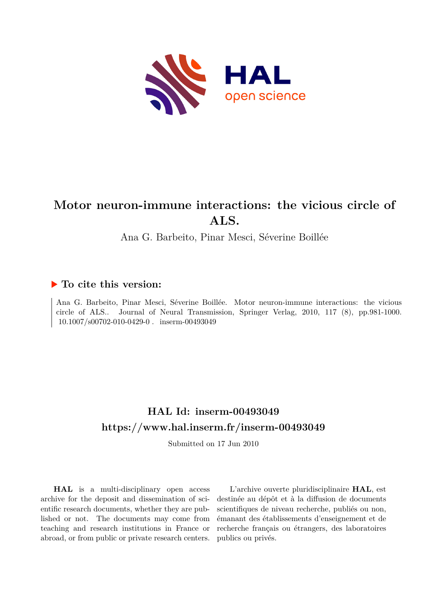

## **Motor neuron-immune interactions: the vicious circle of ALS.**

Ana G. Barbeito, Pinar Mesci, Séverine Boillée

### **To cite this version:**

Ana G. Barbeito, Pinar Mesci, Séverine Boillée. Motor neuron-immune interactions: the vicious circle of ALS.. Journal of Neural Transmission, Springer Verlag, 2010, 117 (8), pp.981-1000.  $10.1007/s00702-010-0429-0$ . inserm-00493049

### **HAL Id: inserm-00493049 <https://www.hal.inserm.fr/inserm-00493049>**

Submitted on 17 Jun 2010

**HAL** is a multi-disciplinary open access archive for the deposit and dissemination of scientific research documents, whether they are published or not. The documents may come from teaching and research institutions in France or abroad, or from public or private research centers.

L'archive ouverte pluridisciplinaire **HAL**, est destinée au dépôt et à la diffusion de documents scientifiques de niveau recherche, publiés ou non, émanant des établissements d'enseignement et de recherche français ou étrangers, des laboratoires publics ou privés.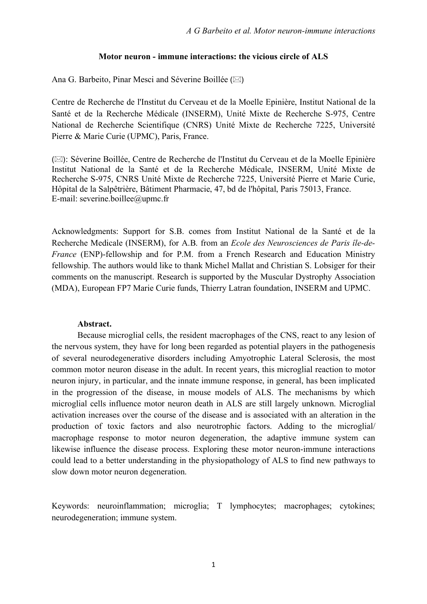#### **Motor neuron - immune interactions: the vicious circle of ALS**

Ana G. Barbeito, Pinar Mesci and Séverine Boillée ( $\boxtimes$ )

Centre de Recherche de l'Institut du Cerveau et de la Moelle Epinière, Institut National de la Santé et de la Recherche Médicale (INSERM), Unité Mixte de Recherche S-975, Centre National de Recherche Scientifique (CNRS) Unité Mixte de Recherche 7225, Université Pierre & Marie Curie (UPMC), Paris, France.

( $\boxtimes$ ): Séverine Boillée, Centre de Recherche de l'Institut du Cerveau et de la Moelle Epinière Institut National de la Santé et de la Recherche Médicale, INSERM, Unité Mixte de Recherche S-975, CNRS Unité Mixte de Recherche 7225, Université Pierre et Marie Curie, Hôpital de la Salpêtrière, Bâtiment Pharmacie, 47, bd de l'hôpital, Paris 75013, France. E-mail: severine.boillee@upmc.fr

Acknowledgments: Support for S.B. comes from Institut National de la Santé et de la Recherche Medicale (INSERM), for A.B. from an *Ecole des Neurosciences de Paris île-de-France* (ENP)-fellowship and for P.M. from a French Research and Education Ministry fellowship. The authors would like to thank Michel Mallat and Christian S. Lobsiger for their comments on the manuscript. Research is supported by the Muscular Dystrophy Association (MDA), European FP7 Marie Curie funds, Thierry Latran foundation, INSERM and UPMC.

#### **Abstract.**

Because microglial cells, the resident macrophages of the CNS, react to any lesion of the nervous system, they have for long been regarded as potential players in the pathogenesis of several neurodegenerative disorders including Amyotrophic Lateral Sclerosis, the most common motor neuron disease in the adult. In recent years, this microglial reaction to motor neuron injury, in particular, and the innate immune response, in general, has been implicated in the progression of the disease, in mouse models of ALS. The mechanisms by which microglial cells influence motor neuron death in ALS are still largely unknown. Microglial activation increases over the course of the disease and is associated with an alteration in the production of toxic factors and also neurotrophic factors. Adding to the microglial/ macrophage response to motor neuron degeneration, the adaptive immune system can likewise influence the disease process. Exploring these motor neuron-immune interactions could lead to a better understanding in the physiopathology of ALS to find new pathways to slow down motor neuron degeneration.

Keywords: neuroinflammation; microglia; T lymphocytes; macrophages; cytokines; neurodegeneration; immune system.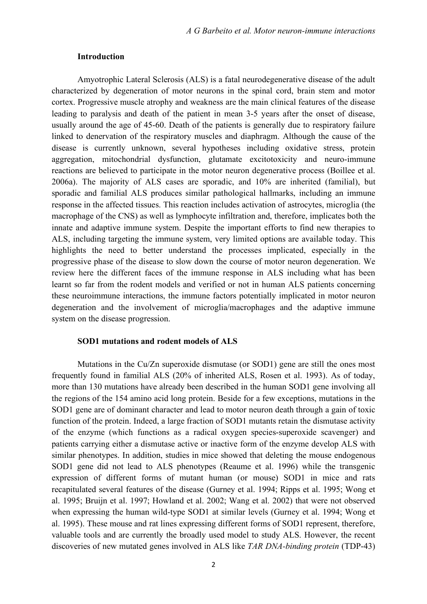#### **Introduction**

Amyotrophic Lateral Sclerosis (ALS) is a fatal neurodegenerative disease of the adult characterized by degeneration of motor neurons in the spinal cord, brain stem and motor cortex. Progressive muscle atrophy and weakness are the main clinical features of the disease leading to paralysis and death of the patient in mean 3-5 years after the onset of disease, usually around the age of 45-60. Death of the patients is generally due to respiratory failure linked to denervation of the respiratory muscles and diaphragm. Although the cause of the disease is currently unknown, several hypotheses including oxidative stress, protein aggregation, mitochondrial dysfunction, glutamate excitotoxicity and neuro-immune reactions are believed to participate in the motor neuron degenerative process (Boillee et al. 2006a). The majority of ALS cases are sporadic, and 10% are inherited (familial), but sporadic and familial ALS produces similar pathological hallmarks, including an immune response in the affected tissues. This reaction includes activation of astrocytes, microglia (the macrophage of the CNS) as well as lymphocyte infiltration and, therefore, implicates both the innate and adaptive immune system. Despite the important efforts to find new therapies to ALS, including targeting the immune system, very limited options are available today. This highlights the need to better understand the processes implicated, especially in the progressive phase of the disease to slow down the course of motor neuron degeneration. We review here the different faces of the immune response in ALS including what has been learnt so far from the rodent models and verified or not in human ALS patients concerning these neuroimmune interactions, the immune factors potentially implicated in motor neuron degeneration and the involvement of microglia/macrophages and the adaptive immune system on the disease progression.

#### **SOD1 mutations and rodent models of ALS**

Mutations in the Cu/Zn superoxide dismutase (or SOD1) gene are still the ones most frequently found in familial ALS (20% of inherited ALS, Rosen et al. 1993). As of today, more than 130 mutations have already been described in the human SOD1 gene involving all the regions of the 154 amino acid long protein. Beside for a few exceptions, mutations in the SOD1 gene are of dominant character and lead to motor neuron death through a gain of toxic function of the protein. Indeed, a large fraction of SOD1 mutants retain the dismutase activity of the enzyme (which functions as a radical oxygen species-superoxide scavenger) and patients carrying either a dismutase active or inactive form of the enzyme develop ALS with similar phenotypes. In addition, studies in mice showed that deleting the mouse endogenous SOD1 gene did not lead to ALS phenotypes (Reaume et al. 1996) while the transgenic expression of different forms of mutant human (or mouse) SOD1 in mice and rats recapitulated several features of the disease (Gurney et al. 1994; Ripps et al. 1995; Wong et al. 1995; Bruijn et al. 1997; Howland et al. 2002; Wang et al. 2002) that were not observed when expressing the human wild-type SOD1 at similar levels (Gurney et al. 1994; Wong et al. 1995). These mouse and rat lines expressing different forms of SOD1 represent, therefore, valuable tools and are currently the broadly used model to study ALS. However, the recent discoveries of new mutated genes involved in ALS like *TAR DNA-binding protein* (TDP-43)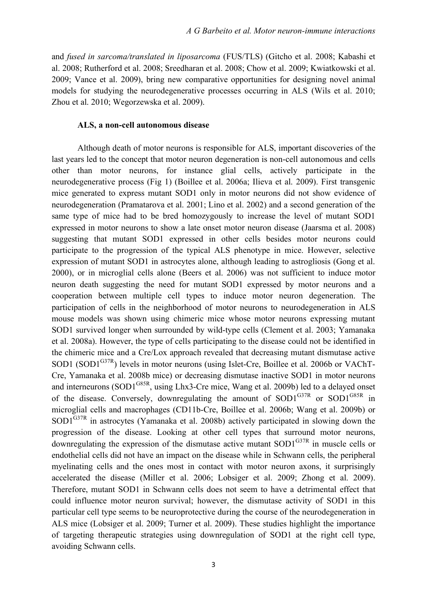and *fused in sarcoma/translated in liposarcoma* (FUS/TLS) (Gitcho et al. 2008; Kabashi et al. 2008; Rutherford et al. 2008; Sreedharan et al. 2008; Chow et al. 2009; Kwiatkowski et al. 2009; Vance et al. 2009), bring new comparative opportunities for designing novel animal models for studying the neurodegenerative processes occurring in ALS (Wils et al. 2010; Zhou et al. 2010; Wegorzewska et al. 2009).

#### **ALS, a non-cell autonomous disease**

Although death of motor neurons is responsible for ALS, important discoveries of the last years led to the concept that motor neuron degeneration is non-cell autonomous and cells other than motor neurons, for instance glial cells, actively participate in the neurodegenerative process (Fig 1) (Boillee et al. 2006a; Ilieva et al. 2009). First transgenic mice generated to express mutant SOD1 only in motor neurons did not show evidence of neurodegeneration (Pramatarova et al. 2001; Lino et al. 2002) and a second generation of the same type of mice had to be bred homozygously to increase the level of mutant SOD1 expressed in motor neurons to show a late onset motor neuron disease (Jaarsma et al. 2008) suggesting that mutant SOD1 expressed in other cells besides motor neurons could participate to the progression of the typical ALS phenotype in mice. However, selective expression of mutant SOD1 in astrocytes alone, although leading to astrogliosis (Gong et al. 2000), or in microglial cells alone (Beers et al. 2006) was not sufficient to induce motor neuron death suggesting the need for mutant SOD1 expressed by motor neurons and a cooperation between multiple cell types to induce motor neuron degeneration. The participation of cells in the neighborhood of motor neurons to neurodegeneration in ALS mouse models was shown using chimeric mice whose motor neurons expressing mutant SOD1 survived longer when surrounded by wild-type cells (Clement et al. 2003; Yamanaka et al. 2008a). However, the type of cells participating to the disease could not be identified in the chimeric mice and a Cre/Lox approach revealed that decreasing mutant dismutase active SOD1 (SOD1 $^{G37R}$ ) levels in motor neurons (using Islet-Cre, Boillee et al. 2006b or VAChT-Cre, Yamanaka et al. 2008b mice) or decreasing dismutase inactive SOD1 in motor neurons and interneurons (SOD1<sup>G85R</sup>, using Lhx3-Cre mice, Wang et al. 2009b) led to a delayed onset of the disease. Conversely, downregulating the amount of  $SOD1^{G37R}$  or  $SOD1^{G85R}$  in microglial cells and macrophages (CD11b-Cre, Boillee et al. 2006b; Wang et al. 2009b) or  $SOD1<sup>G37R</sup>$  in astrocytes (Yamanaka et al. 2008b) actively participated in slowing down the progression of the disease. Looking at other cell types that surround motor neurons, downregulating the expression of the dismutase active mutant  $SOD1^{G37R}$  in muscle cells or endothelial cells did not have an impact on the disease while in Schwann cells, the peripheral myelinating cells and the ones most in contact with motor neuron axons, it surprisingly accelerated the disease (Miller et al. 2006; Lobsiger et al. 2009; Zhong et al. 2009). Therefore, mutant SOD1 in Schwann cells does not seem to have a detrimental effect that could influence motor neuron survival; however, the dismutase activity of SOD1 in this particular cell type seems to be neuroprotective during the course of the neurodegeneration in ALS mice (Lobsiger et al. 2009; Turner et al. 2009). These studies highlight the importance of targeting therapeutic strategies using downregulation of SOD1 at the right cell type, avoiding Schwann cells.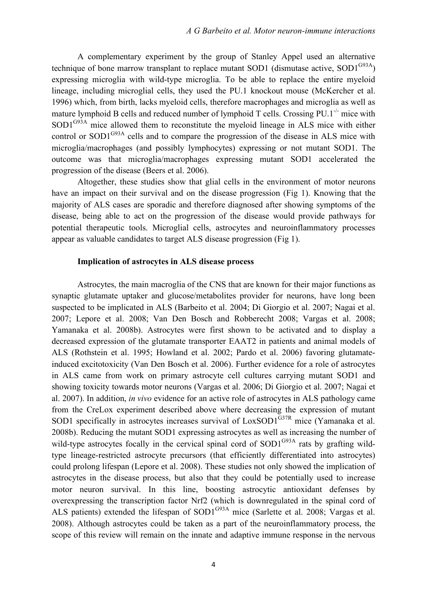A complementary experiment by the group of Stanley Appel used an alternative technique of bone marrow transplant to replace mutant SOD1 (dismutase active,  $SOD1^{G93A}$ ) expressing microglia with wild-type microglia. To be able to replace the entire myeloid lineage, including microglial cells, they used the PU.1 knockout mouse (McKercher et al. 1996) which, from birth, lacks myeloid cells, therefore macrophages and microglia as well as mature lymphoid B cells and reduced number of lymphoid T cells. Crossing PU.1<sup>-/-</sup> mice with SOD1<sup>G93A</sup> mice allowed them to reconstitute the myeloid lineage in ALS mice with either control or SOD1<sup>G93A</sup> cells and to compare the progression of the disease in ALS mice with microglia/macrophages (and possibly lymphocytes) expressing or not mutant SOD1. The outcome was that microglia/macrophages expressing mutant SOD1 accelerated the progression of the disease (Beers et al. 2006).

Altogether, these studies show that glial cells in the environment of motor neurons have an impact on their survival and on the disease progression (Fig 1). Knowing that the majority of ALS cases are sporadic and therefore diagnosed after showing symptoms of the disease, being able to act on the progression of the disease would provide pathways for potential therapeutic tools. Microglial cells, astrocytes and neuroinflammatory processes appear as valuable candidates to target ALS disease progression (Fig 1).

#### **Implication of astrocytes in ALS disease process**

Astrocytes, the main macroglia of the CNS that are known for their major functions as synaptic glutamate uptaker and glucose/metabolites provider for neurons, have long been suspected to be implicated in ALS (Barbeito et al. 2004; Di Giorgio et al. 2007; Nagai et al. 2007; Lepore et al. 2008; Van Den Bosch and Robberecht 2008; Vargas et al. 2008; Yamanaka et al. 2008b). Astrocytes were first shown to be activated and to display a decreased expression of the glutamate transporter EAAT2 in patients and animal models of ALS (Rothstein et al. 1995; Howland et al. 2002; Pardo et al. 2006) favoring glutamateinduced excitotoxicity (Van Den Bosch et al. 2006). Further evidence for a role of astrocytes in ALS came from work on primary astrocyte cell cultures carrying mutant SOD1 and showing toxicity towards motor neurons (Vargas et al. 2006; Di Giorgio et al. 2007; Nagai et al. 2007). In addition, *in vivo* evidence for an active role of astrocytes in ALS pathology came from the CreLox experiment described above where decreasing the expression of mutant SOD1 specifically in astrocytes increases survival of  $LoxSOD1<sup>G37R</sup>$  mice (Yamanaka et al. 2008b). Reducing the mutant SOD1 expressing astrocytes as well as increasing the number of wild-type astrocytes focally in the cervical spinal cord of  $SOD1<sup>G93A</sup>$  rats by grafting wildtype lineage-restricted astrocyte precursors (that efficiently differentiated into astrocytes) could prolong lifespan (Lepore et al. 2008). These studies not only showed the implication of astrocytes in the disease process, but also that they could be potentially used to increase motor neuron survival. In this line, boosting astrocytic antioxidant defenses by overexpressing the transcription factor Nrf2 (which is downregulated in the spinal cord of ALS patients) extended the lifespan of SOD1<sup>G93A</sup> mice (Sarlette et al. 2008; Vargas et al. 2008). Although astrocytes could be taken as a part of the neuroinflammatory process, the scope of this review will remain on the innate and adaptive immune response in the nervous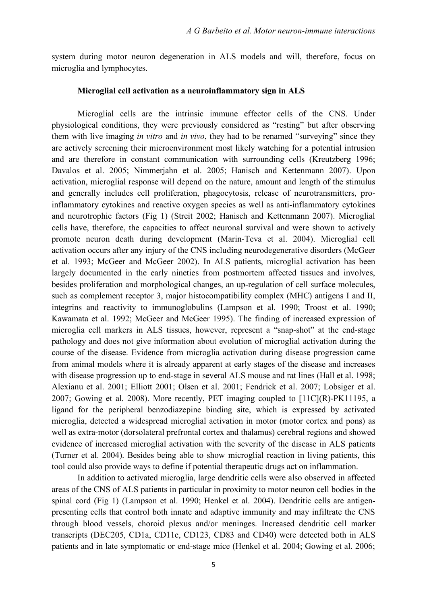system during motor neuron degeneration in ALS models and will, therefore, focus on microglia and lymphocytes.

#### **Microglial cell activation as a neuroinflammatory sign in ALS**

Microglial cells are the intrinsic immune effector cells of the CNS. Under physiological conditions, they were previously considered as "resting" but after observing them with live imaging *in vitro* and *in vivo*, they had to be renamed "surveying" since they are actively screening their microenvironment most likely watching for a potential intrusion and are therefore in constant communication with surrounding cells (Kreutzberg 1996; Davalos et al. 2005; Nimmerjahn et al. 2005; Hanisch and Kettenmann 2007). Upon activation, microglial response will depend on the nature, amount and length of the stimulus and generally includes cell proliferation, phagocytosis, release of neurotransmitters, proinflammatory cytokines and reactive oxygen species as well as anti-inflammatory cytokines and neurotrophic factors (Fig 1) (Streit 2002; Hanisch and Kettenmann 2007). Microglial cells have, therefore, the capacities to affect neuronal survival and were shown to actively promote neuron death during development (Marin-Teva et al. 2004). Microglial cell activation occurs after any injury of the CNS including neurodegenerative disorders (McGeer et al. 1993; McGeer and McGeer 2002). In ALS patients, microglial activation has been largely documented in the early nineties from postmortem affected tissues and involves, besides proliferation and morphological changes, an up-regulation of cell surface molecules, such as complement receptor 3, major histocompatibility complex (MHC) antigens I and II, integrins and reactivity to immunoglobulins (Lampson et al. 1990; Troost et al. 1990; Kawamata et al. 1992; McGeer and McGeer 1995). The finding of increased expression of microglia cell markers in ALS tissues, however, represent a "snap-shot" at the end-stage pathology and does not give information about evolution of microglial activation during the course of the disease. Evidence from microglia activation during disease progression came from animal models where it is already apparent at early stages of the disease and increases with disease progression up to end-stage in several ALS mouse and rat lines (Hall et al. 1998; Alexianu et al. 2001; Elliott 2001; Olsen et al. 2001; Fendrick et al. 2007; Lobsiger et al. 2007; Gowing et al. 2008). More recently, PET imaging coupled to  $[11C](R)$ -PK11195, a ligand for the peripheral benzodiazepine binding site, which is expressed by activated microglia, detected a widespread microglial activation in motor (motor cortex and pons) as well as extra-motor (dorsolateral prefrontal cortex and thalamus) cerebral regions and showed evidence of increased microglial activation with the severity of the disease in ALS patients (Turner et al. 2004). Besides being able to show microglial reaction in living patients, this tool could also provide ways to define if potential therapeutic drugs act on inflammation.

In addition to activated microglia, large dendritic cells were also observed in affected areas of the CNS of ALS patients in particular in proximity to motor neuron cell bodies in the spinal cord (Fig 1) (Lampson et al. 1990; Henkel et al. 2004). Dendritic cells are antigenpresenting cells that control both innate and adaptive immunity and may infiltrate the CNS through blood vessels, choroid plexus and/or meninges. Increased dendritic cell marker transcripts (DEC205, CD1a, CD11c, CD123, CD83 and CD40) were detected both in ALS patients and in late symptomatic or end-stage mice (Henkel et al. 2004; Gowing et al. 2006;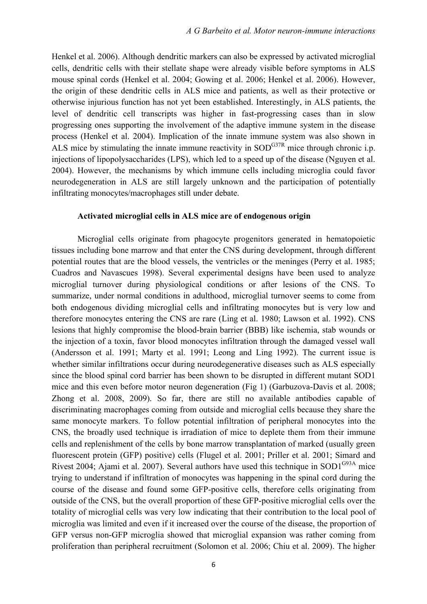Henkel et al. 2006). Although dendritic markers can also be expressed by activated microglial cells, dendritic cells with their stellate shape were already visible before symptoms in ALS mouse spinal cords (Henkel et al. 2004; Gowing et al. 2006; Henkel et al. 2006). However, the origin of these dendritic cells in ALS mice and patients, as well as their protective or otherwise injurious function has not yet been established. Interestingly, in ALS patients, the level of dendritic cell transcripts was higher in fast-progressing cases than in slow progressing ones supporting the involvement of the adaptive immune system in the disease process (Henkel et al. 2004). Implication of the innate immune system was also shown in ALS mice by stimulating the innate immune reactivity in  $SOD^{G37R}$  mice through chronic i.p. injections of lipopolysaccharides (LPS), which led to a speed up of the disease (Nguyen et al. 2004). However, the mechanisms by which immune cells including microglia could favor neurodegeneration in ALS are still largely unknown and the participation of potentially infiltrating monocytes/macrophages still under debate.

#### **Activated microglial cells in ALS mice are of endogenous origin**

Microglial cells originate from phagocyte progenitors generated in hematopoietic tissues including bone marrow and that enter the CNS during development, through different potential routes that are the blood vessels, the ventricles or the meninges (Perry et al. 1985; Cuadros and Navascues 1998). Several experimental designs have been used to analyze microglial turnover during physiological conditions or after lesions of the CNS. To summarize, under normal conditions in adulthood, microglial turnover seems to come from both endogenous dividing microglial cells and infiltrating monocytes but is very low and therefore monocytes entering the CNS are rare (Ling et al. 1980; Lawson et al. 1992). CNS lesions that highly compromise the blood-brain barrier (BBB) like ischemia, stab wounds or the injection of a toxin, favor blood monocytes infiltration through the damaged vessel wall (Andersson et al. 1991; Marty et al. 1991; Leong and Ling 1992). The current issue is whether similar infiltrations occur during neurodegenerative diseases such as ALS especially since the blood spinal cord barrier has been shown to be disrupted in different mutant SOD1 mice and this even before motor neuron degeneration (Fig 1) (Garbuzova-Davis et al. 2008; Zhong et al. 2008, 2009). So far, there are still no available antibodies capable of discriminating macrophages coming from outside and microglial cells because they share the same monocyte markers. To follow potential infiltration of peripheral monocytes into the CNS, the broadly used technique is irradiation of mice to deplete them from their immune cells and replenishment of the cells by bone marrow transplantation of marked (usually green fluorescent protein (GFP) positive) cells (Flugel et al. 2001; Priller et al. 2001; Simard and Rivest 2004; Ajami et al. 2007). Several authors have used this technique in SOD1<sup>G93A</sup> mice trying to understand if infiltration of monocytes was happening in the spinal cord during the course of the disease and found some GFP-positive cells, therefore cells originating from outside of the CNS, but the overall proportion of these GFP-positive microglial cells over the totality of microglial cells was very low indicating that their contribution to the local pool of microglia was limited and even if it increased over the course of the disease, the proportion of GFP versus non-GFP microglia showed that microglial expansion was rather coming from proliferation than peripheral recruitment (Solomon et al. 2006; Chiu et al. 2009). The higher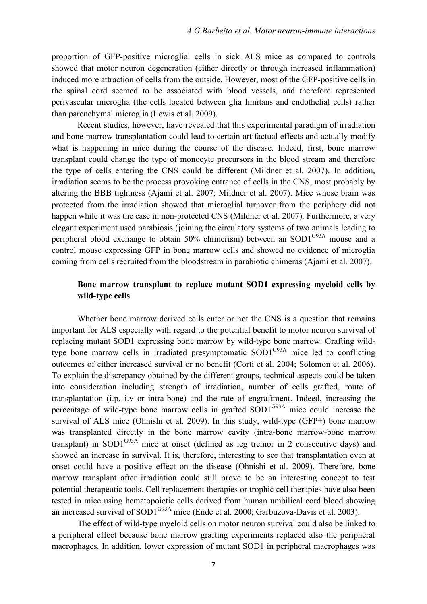proportion of GFP-positive microglial cells in sick ALS mice as compared to controls showed that motor neuron degeneration (either directly or through increased inflammation) induced more attraction of cells from the outside. However, most of the GFP-positive cells in the spinal cord seemed to be associated with blood vessels, and therefore represented perivascular microglia (the cells located between glia limitans and endothelial cells) rather than parenchymal microglia (Lewis et al. 2009).

Recent studies, however, have revealed that this experimental paradigm of irradiation and bone marrow transplantation could lead to certain artifactual effects and actually modify what is happening in mice during the course of the disease. Indeed, first, bone marrow transplant could change the type of monocyte precursors in the blood stream and therefore the type of cells entering the CNS could be different (Mildner et al. 2007). In addition, irradiation seems to be the process provoking entrance of cells in the CNS, most probably by altering the BBB tightness (Ajami et al. 2007; Mildner et al. 2007). Mice whose brain was protected from the irradiation showed that microglial turnover from the periphery did not happen while it was the case in non-protected CNS (Mildner et al. 2007). Furthermore, a very elegant experiment used parabiosis (joining the circulatory systems of two animals leading to peripheral blood exchange to obtain  $50\%$  chimerism) between an SOD1<sup>G93A</sup> mouse and a control mouse expressing GFP in bone marrow cells and showed no evidence of microglia coming from cells recruited from the bloodstream in parabiotic chimeras (Ajami et al. 2007).

#### **Bone marrow transplant to replace mutant SOD1 expressing myeloid cells by wild-type cells**

Whether bone marrow derived cells enter or not the CNS is a question that remains important for ALS especially with regard to the potential benefit to motor neuron survival of replacing mutant SOD1 expressing bone marrow by wild-type bone marrow. Grafting wildtype bone marrow cells in irradiated presymptomatic  $SOD1^{G93A}$  mice led to conflicting outcomes of either increased survival or no benefit (Corti et al. 2004; Solomon et al. 2006). To explain the discrepancy obtained by the different groups, technical aspects could be taken into consideration including strength of irradiation, number of cells grafted, route of transplantation (i.p, i.v or intra-bone) and the rate of engraftment. Indeed, increasing the percentage of wild-type bone marrow cells in grafted  $SOD1^{G93A}$  mice could increase the survival of ALS mice (Ohnishi et al. 2009). In this study, wild-type (GFP+) bone marrow was transplanted directly in the bone marrow cavity (intra-bone marrow-bone marrow transplant) in SOD1 $G<sup>93A</sup>$  mice at onset (defined as leg tremor in 2 consecutive days) and showed an increase in survival. It is, therefore, interesting to see that transplantation even at onset could have a positive effect on the disease (Ohnishi et al. 2009). Therefore, bone marrow transplant after irradiation could still prove to be an interesting concept to test potential therapeutic tools. Cell replacement therapies or trophic cell therapies have also been tested in mice using hematopoietic cells derived from human umbilical cord blood showing an increased survival of  $SOD1^{G93A}$  mice (Ende et al. 2000; Garbuzova-Davis et al. 2003).

The effect of wild-type myeloid cells on motor neuron survival could also be linked to a peripheral effect because bone marrow grafting experiments replaced also the peripheral macrophages. In addition, lower expression of mutant SOD1 in peripheral macrophages was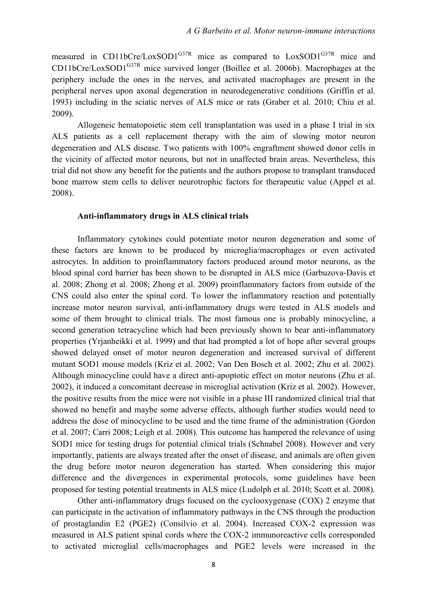measured in CD11bCre/LoxSOD1<sup>G37R</sup> mice as compared to LoxSOD1<sup>G37R</sup> mice and  $CD11bCre/LoxSOD1<sup>G37R</sup>$  mice survived longer (Boillee et al. 2006b). Macrophages at the periphery include the ones in the nerves, and activated macrophages are present in the peripheral nerves upon axonal degeneration in neurodegenerative conditions (Griffin et al. 1993) including in the sciatic nerves of ALS mice or rats (Graber et al. 2010; Chiu et al. 2009).

Allogeneic hematopoietic stem cell transplantation was used in a phase I trial in six ALS patients as a cell replacement therapy with the aim of slowing motor neuron degeneration and ALS disease. Two patients with 100% engraftment showed donor cells in the vicinity of affected motor neurons, but not in unaffected brain areas. Nevertheless, this trial did not show any benefit for the patients and the authors propose to transplant transduced bone marrow stem cells to deliver neurotrophic factors for therapeutic value (Appel et al. 2008).

#### **Anti-inflammatory drugs in ALS clinical trials**

Inflammatory cytokines could potentiate motor neuron degeneration and some of these factors are known to be produced by microglia/macrophages or even activated astrocytes. In addition to proinflammatory factors produced around motor neurons, as the blood spinal cord barrier has been shown to be disrupted in ALS mice (Garbuzova-Davis et al. 2008; Zhong et al. 2008; Zhong et al. 2009) proinflammatory factors from outside of the CNS could also enter the spinal cord. To lower the inflammatory reaction and potentially increase motor neuron survival, anti-inflammatory drugs were tested in ALS models and some of them brought to clinical trials. The most famous one is probably minocycline, a second generation tetracycline which had been previously shown to bear anti-inflammatory properties (Yrjanheikki et al. 1999) and that had prompted a lot of hope after several groups showed delayed onset of motor neuron degeneration and increased survival of different mutant SOD1 mouse models (Kriz et al. 2002; Van Den Bosch et al. 2002; Zhu et al. 2002). Although minocycline could have a direct anti-apoptotic effect on motor neurons (Zhu et al. 2002), it induced a concomitant decrease in microglial activation (Kriz et al. 2002). However, the positive results from the mice were not visible in a phase III randomized clinical trial that showed no benefit and maybe some adverse effects, although further studies would need to address the dose of minocycline to be used and the time frame of the administration (Gordon et al. 2007; Carri 2008; Leigh et al. 2008). This outcome has hampered the relevance of using SOD1 mice for testing drugs for potential clinical trials (Schnabel 2008). However and very importantly, patients are always treated after the onset of disease, and animals are often given the drug before motor neuron degeneration has started. When considering this major difference and the divergences in experimental protocols, some guidelines have been proposed for testing potential treatments in ALS mice (Ludolph et al. 2010; Scott et al. 2008).

Other anti-inflammatory drugs focused on the cyclooxygenase (COX) 2 enzyme that can participate in the activation of inflammatory pathways in the CNS through the production of prostaglandin E2 (PGE2) (Consilvio et al. 2004). Increased COX-2 expression was measured in ALS patient spinal cords where the COX-2 immunoreactive cells corresponded to activated microglial cells/macrophages and PGE2 levels were increased in the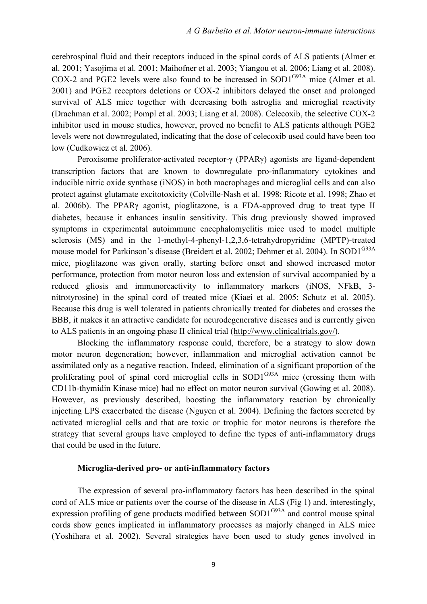cerebrospinal fluid and their receptors induced in the spinal cords of ALS patients (Almer et al. 2001; Yasojima et al. 2001; Maihofner et al. 2003; Yiangou et al. 2006; Liang et al. 2008). COX-2 and PGE2 levels were also found to be increased in  $SOD1^{G93A}$  mice (Almer et al. 2001) and PGE2 receptors deletions or COX-2 inhibitors delayed the onset and prolonged survival of ALS mice together with decreasing both astroglia and microglial reactivity (Drachman et al. 2002; Pompl et al. 2003; Liang et al. 2008). Celecoxib, the selective COX-2 inhibitor used in mouse studies, however, proved no benefit to ALS patients although PGE2 levels were not downregulated, indicating that the dose of celecoxib used could have been too low (Cudkowicz et al. 2006).

Peroxisome proliferator-activated receptor-γ (PPARγ) agonists are ligand-dependent transcription factors that are known to downregulate pro-inflammatory cytokines and inducible nitric oxide synthase (iNOS) in both macrophages and microglial cells and can also protect against glutamate excitotoxicity (Colville-Nash et al. 1998; Ricote et al. 1998; Zhao et al. 2006b). The PPARγ agonist, pioglitazone, is a FDA-approved drug to treat type II diabetes, because it enhances insulin sensitivity. This drug previously showed improved symptoms in experimental autoimmune encephalomyelitis mice used to model multiple sclerosis (MS) and in the 1-methyl-4-phenyl-1,2,3,6-tetrahydropyridine (MPTP)-treated mouse model for Parkinson's disease (Breidert et al. 2002; Dehmer et al. 2004). In SOD1<sup>G93A</sup> mice, pioglitazone was given orally, starting before onset and showed increased motor performance, protection from motor neuron loss and extension of survival accompanied by a reduced gliosis and immunoreactivity to inflammatory markers (iNOS, NFkB, 3 nitrotyrosine) in the spinal cord of treated mice (Kiaei et al. 2005; Schutz et al. 2005). Because this drug is well tolerated in patients chronically treated for diabetes and crosses the BBB, it makes it an attractive candidate for neurodegenerative diseases and is currently given to ALS patients in an ongoing phase II clinical trial (http://www.clinicaltrials.gov/).

Blocking the inflammatory response could, therefore, be a strategy to slow down motor neuron degeneration; however, inflammation and microglial activation cannot be assimilated only as a negative reaction. Indeed, elimination of a significant proportion of the proliferating pool of spinal cord microglial cells in  $SOD1^{G93A}$  mice (crossing them with CD11b-thymidin Kinase mice) had no effect on motor neuron survival (Gowing et al. 2008). However, as previously described, boosting the inflammatory reaction by chronically injecting LPS exacerbated the disease (Nguyen et al. 2004). Defining the factors secreted by activated microglial cells and that are toxic or trophic for motor neurons is therefore the strategy that several groups have employed to define the types of anti-inflammatory drugs that could be used in the future.

#### **Microglia-derived pro- or anti-inflammatory factors**

The expression of several pro-inflammatory factors has been described in the spinal cord of ALS mice or patients over the course of the disease in ALS (Fig 1) and, interestingly, expression profiling of gene products modified between  $SOD1^{G93A}$  and control mouse spinal cords show genes implicated in inflammatory processes as majorly changed in ALS mice (Yoshihara et al. 2002). Several strategies have been used to study genes involved in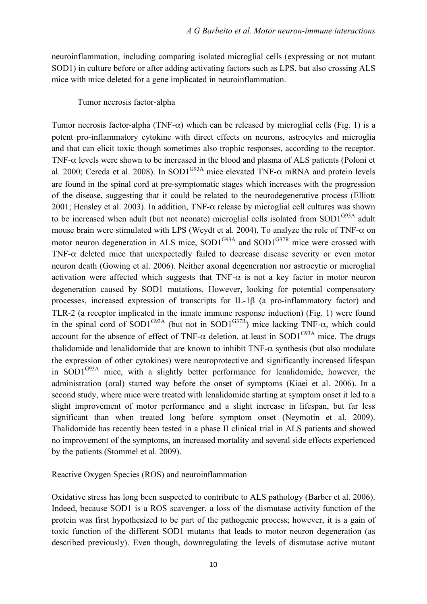neuroinflammation, including comparing isolated microglial cells (expressing or not mutant SOD1) in culture before or after adding activating factors such as LPS, but also crossing ALS mice with mice deleted for a gene implicated in neuroinflammation.

#### Tumor necrosis factor-alpha

Tumor necrosis factor-alpha (TNF- $\alpha$ ) which can be released by microglial cells (Fig. 1) is a potent pro-inflammatory cytokine with direct effects on neurons, astrocytes and microglia and that can elicit toxic though sometimes also trophic responses, according to the receptor. TNF-α levels were shown to be increased in the blood and plasma of ALS patients (Poloni et al. 2000; Cereda et al. 2008). In SOD1<sup>G93A</sup> mice elevated TNF- $\alpha$  mRNA and protein levels are found in the spinal cord at pre-symptomatic stages which increases with the progression of the disease, suggesting that it could be related to the neurodegenerative process (Elliott 2001; Hensley et al. 2003). In addition, TNF- $\alpha$  release by microglial cell cultures was shown to be increased when adult (but not neonate) microglial cells isolated from  $SOD1<sup>G93A</sup>$  adult mouse brain were stimulated with LPS (Weydt et al. 2004). To analyze the role of TNF- $\alpha$  on motor neuron degeneration in ALS mice,  $SOD1^{G93A}$  and  $SOD1^{G37R}$  mice were crossed with TNF- $\alpha$  deleted mice that unexpectedly failed to decrease disease severity or even motor neuron death (Gowing et al. 2006). Neither axonal degeneration nor astrocytic or microglial activation were affected which suggests that TNF- $\alpha$  is not a key factor in motor neuron degeneration caused by SOD1 mutations. However, looking for potential compensatory processes, increased expression of transcripts for IL-1β (a pro-inflammatory factor) and TLR-2 (a receptor implicated in the innate immune response induction) (Fig. 1) were found in the spinal cord of SOD1<sup>G93A</sup> (but not in SOD1<sup>G37R</sup>) mice lacking TNF- $\alpha$ , which could account for the absence of effect of TNF- $\alpha$  deletion, at least in SOD1<sup>G93A</sup> mice. The drugs thalidomide and lenalidomide that are known to inhibit TNF- $\alpha$  synthesis (but also modulate the expression of other cytokines) were neuroprotective and significantly increased lifespan in SOD1 $G<sup>93A</sup>$  mice, with a slightly better performance for lenalidomide, however, the administration (oral) started way before the onset of symptoms (Kiaei et al. 2006). In a second study, where mice were treated with lenalidomide starting at symptom onset it led to a slight improvement of motor performance and a slight increase in lifespan, but far less significant than when treated long before symptom onset (Neymotin et al. 2009). Thalidomide has recently been tested in a phase II clinical trial in ALS patients and showed no improvement of the symptoms, an increased mortality and several side effects experienced by the patients (Stommel et al. 2009).

Reactive Oxygen Species (ROS) and neuroinflammation

Oxidative stress has long been suspected to contribute to ALS pathology (Barber et al. 2006). Indeed, because SOD1 is a ROS scavenger, a loss of the dismutase activity function of the protein was first hypothesized to be part of the pathogenic process; however, it is a gain of toxic function of the different SOD1 mutants that leads to motor neuron degeneration (as described previously). Even though, downregulating the levels of dismutase active mutant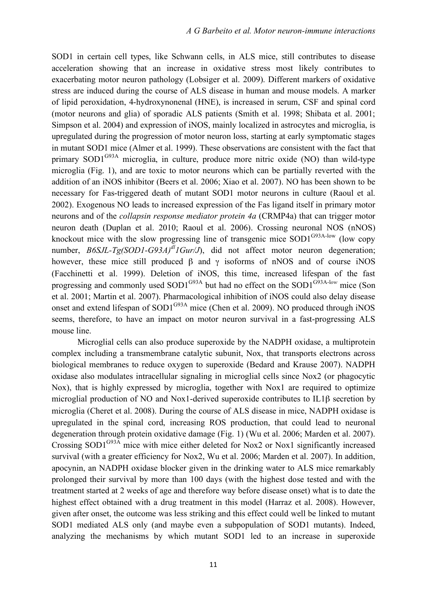SOD1 in certain cell types, like Schwann cells, in ALS mice, still contributes to disease acceleration showing that an increase in oxidative stress most likely contributes to exacerbating motor neuron pathology (Lobsiger et al. 2009). Different markers of oxidative stress are induced during the course of ALS disease in human and mouse models. A marker of lipid peroxidation, 4-hydroxynonenal (HNE), is increased in serum, CSF and spinal cord (motor neurons and glia) of sporadic ALS patients (Smith et al. 1998; Shibata et al. 2001; Simpson et al. 2004) and expression of iNOS, mainly localized in astrocytes and microglia, is upregulated during the progression of motor neuron loss, starting at early symptomatic stages in mutant SOD1 mice (Almer et al. 1999). These observations are consistent with the fact that primary  $SOD1^{G93A}$  microglia, in culture, produce more nitric oxide (NO) than wild-type microglia (Fig. 1), and are toxic to motor neurons which can be partially reverted with the addition of an iNOS inhibitor (Beers et al. 2006; Xiao et al. 2007). NO has been shown to be necessary for Fas-triggered death of mutant SOD1 motor neurons in culture (Raoul et al. 2002). Exogenous NO leads to increased expression of the Fas ligand itself in primary motor neurons and of the *collapsin response mediator protein 4a* (CRMP4a) that can trigger motor neuron death (Duplan et al. 2010; Raoul et al. 2006). Crossing neuronal NOS (nNOS) knockout mice with the slow progressing line of transgenic mice  $SOD1^{G93A-low}$  (low copy number,  $B6SJL-Tg(SODI-G93A)^{dI}IGur/J$ , did not affect motor neuron degeneration; however, these mice still produced  $\beta$  and  $\gamma$  isoforms of nNOS and of course iNOS (Facchinetti et al. 1999). Deletion of iNOS, this time, increased lifespan of the fast progressing and commonly used SOD1<sup>G93A</sup> but had no effect on the SOD1<sup>G93A-low</sup> mice (Son et al. 2001; Martin et al. 2007). Pharmacological inhibition of iNOS could also delay disease onset and extend lifespan of  $SOD1^{G93A}$  mice (Chen et al. 2009). NO produced through iNOS seems, therefore, to have an impact on motor neuron survival in a fast-progressing ALS mouse line.

Microglial cells can also produce superoxide by the NADPH oxidase, a multiprotein complex including a transmembrane catalytic subunit, Nox, that transports electrons across biological membranes to reduce oxygen to superoxide (Bedard and Krause 2007). NADPH oxidase also modulates intracellular signaling in microglial cells since Nox2 (or phagocytic Nox), that is highly expressed by microglia, together with Nox1 are required to optimize microglial production of NO and Nox1-derived superoxide contributes to IL1β secretion by microglia (Cheret et al. 2008). During the course of ALS disease in mice, NADPH oxidase is upregulated in the spinal cord, increasing ROS production, that could lead to neuronal degeneration through protein oxidative damage (Fig. 1) (Wu et al. 2006; Marden et al. 2007). Crossing  $SOD1^{G93A}$  mice with mice either deleted for Nox2 or Nox1 significantly increased survival (with a greater efficiency for Nox2, Wu et al. 2006; Marden et al. 2007). In addition, apocynin, an NADPH oxidase blocker given in the drinking water to ALS mice remarkably prolonged their survival by more than 100 days (with the highest dose tested and with the treatment started at 2 weeks of age and therefore way before disease onset) what is to date the highest effect obtained with a drug treatment in this model (Harraz et al. 2008). However, given after onset, the outcome was less striking and this effect could well be linked to mutant SOD1 mediated ALS only (and maybe even a subpopulation of SOD1 mutants). Indeed, analyzing the mechanisms by which mutant SOD1 led to an increase in superoxide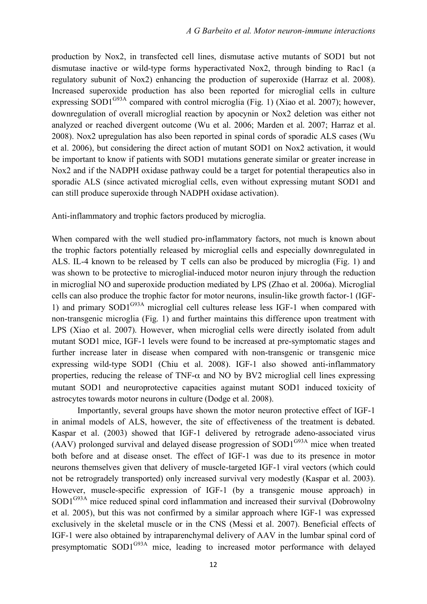production by Nox2, in transfected cell lines, dismutase active mutants of SOD1 but not dismutase inactive or wild-type forms hyperactivated Nox2, through binding to Rac1 (a regulatory subunit of Nox2) enhancing the production of superoxide (Harraz et al. 2008). Increased superoxide production has also been reported for microglial cells in culture expressing SOD1<sup>G93A</sup> compared with control microglia (Fig. 1) (Xiao et al. 2007); however, downregulation of overall microglial reaction by apocynin or Nox2 deletion was either not analyzed or reached divergent outcome (Wu et al. 2006; Marden et al. 2007; Harraz et al. 2008). Nox2 upregulation has also been reported in spinal cords of sporadic ALS cases (Wu et al. 2006), but considering the direct action of mutant SOD1 on Nox2 activation, it would be important to know if patients with SOD1 mutations generate similar or greater increase in Nox2 and if the NADPH oxidase pathway could be a target for potential therapeutics also in sporadic ALS (since activated microglial cells, even without expressing mutant SOD1 and can still produce superoxide through NADPH oxidase activation).

Anti-inflammatory and trophic factors produced by microglia.

When compared with the well studied pro-inflammatory factors, not much is known about the trophic factors potentially released by microglial cells and especially downregulated in ALS. IL-4 known to be released by T cells can also be produced by microglia (Fig. 1) and was shown to be protective to microglial-induced motor neuron injury through the reduction in microglial NO and superoxide production mediated by LPS (Zhao et al. 2006a). Microglial cells can also produce the trophic factor for motor neurons, insulin-like growth factor-1 (IGF-1) and primary  $SOD1^{G93A}$  microglial cell cultures release less IGF-1 when compared with non-transgenic microglia (Fig. 1) and further maintains this difference upon treatment with LPS (Xiao et al. 2007). However, when microglial cells were directly isolated from adult mutant SOD1 mice, IGF-1 levels were found to be increased at pre-symptomatic stages and further increase later in disease when compared with non-transgenic or transgenic mice expressing wild-type SOD1 (Chiu et al. 2008). IGF-1 also showed anti-inflammatory properties, reducing the release of TNF- $\alpha$  and NO by BV2 microglial cell lines expressing mutant SOD1 and neuroprotective capacities against mutant SOD1 induced toxicity of astrocytes towards motor neurons in culture (Dodge et al. 2008).

Importantly, several groups have shown the motor neuron protective effect of IGF-1 in animal models of ALS, however, the site of effectiveness of the treatment is debated. Kaspar et al. (2003) showed that IGF-1 delivered by retrograde adeno-associated virus  $(AAV)$  prolonged survival and delayed disease progression of  $SOD1<sup>G93A</sup>$  mice when treated both before and at disease onset. The effect of IGF-1 was due to its presence in motor neurons themselves given that delivery of muscle-targeted IGF-1 viral vectors (which could not be retrogradely transported) only increased survival very modestly (Kaspar et al. 2003). However, muscle-specific expression of IGF-1 (by a transgenic mouse approach) in SOD1<sup>G93A</sup> mice reduced spinal cord inflammation and increased their survival (Dobrowolny et al. 2005), but this was not confirmed by a similar approach where IGF-1 was expressed exclusively in the skeletal muscle or in the CNS (Messi et al. 2007). Beneficial effects of IGF-1 were also obtained by intraparenchymal delivery of AAV in the lumbar spinal cord of presymptomatic SOD1G93A mice, leading to increased motor performance with delayed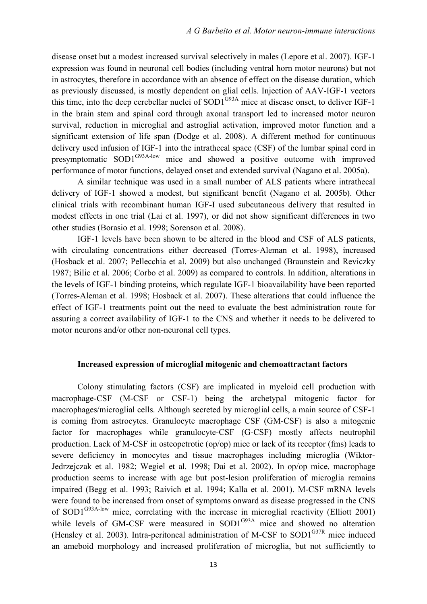disease onset but a modest increased survival selectively in males (Lepore et al. 2007). IGF-1 expression was found in neuronal cell bodies (including ventral horn motor neurons) but not in astrocytes, therefore in accordance with an absence of effect on the disease duration, which as previously discussed, is mostly dependent on glial cells. Injection of AAV-IGF-1 vectors this time, into the deep cerebellar nuclei of  $SOD1^{G93A}$  mice at disease onset, to deliver IGF-1 in the brain stem and spinal cord through axonal transport led to increased motor neuron survival, reduction in microglial and astroglial activation, improved motor function and a significant extension of life span (Dodge et al. 2008). A different method for continuous delivery used infusion of IGF-1 into the intrathecal space (CSF) of the lumbar spinal cord in presymptomatic SOD1G93A-low mice and showed a positive outcome with improved performance of motor functions, delayed onset and extended survival (Nagano et al. 2005a).

A similar technique was used in a small number of ALS patients where intrathecal delivery of IGF-1 showed a modest, but significant benefit (Nagano et al. 2005b). Other clinical trials with recombinant human IGF-I used subcutaneous delivery that resulted in modest effects in one trial (Lai et al. 1997), or did not show significant differences in two other studies (Borasio et al. 1998; Sorenson et al. 2008).

IGF-1 levels have been shown to be altered in the blood and CSF of ALS patients, with circulating concentrations either decreased (Torres-Aleman et al. 1998), increased (Hosback et al. 2007; Pellecchia et al. 2009) but also unchanged (Braunstein and Reviczky 1987; Bilic et al. 2006; Corbo et al. 2009) as compared to controls. In addition, alterations in the levels of IGF-1 binding proteins, which regulate IGF-1 bioavailability have been reported (Torres-Aleman et al. 1998; Hosback et al. 2007). These alterations that could influence the effect of IGF-1 treatments point out the need to evaluate the best administration route for assuring a correct availability of IGF-1 to the CNS and whether it needs to be delivered to motor neurons and/or other non-neuronal cell types.

#### **Increased expression of microglial mitogenic and chemoattractant factors**

Colony stimulating factors (CSF) are implicated in myeloid cell production with macrophage-CSF (M-CSF or CSF-1) being the archetypal mitogenic factor for macrophages/microglial cells. Although secreted by microglial cells, a main source of CSF-1 is coming from astrocytes. Granulocyte macrophage CSF (GM-CSF) is also a mitogenic factor for macrophages while granulocyte-CSF (G-CSF) mostly affects neutrophil production. Lack of M-CSF in osteopetrotic (op/op) mice or lack of its receptor (fms) leads to severe deficiency in monocytes and tissue macrophages including microglia (Wiktor-Jedrzejczak et al. 1982; Wegiel et al. 1998; Dai et al. 2002). In op/op mice, macrophage production seems to increase with age but post-lesion proliferation of microglia remains impaired (Begg et al. 1993; Raivich et al. 1994; Kalla et al. 2001). M-CSF mRNA levels were found to be increased from onset of symptoms onward as disease progressed in the CNS of SOD1<sup>G93A-low</sup> mice, correlating with the increase in microglial reactivity (Elliott 2001) while levels of GM-CSF were measured in SOD1<sup>G93A</sup> mice and showed no alteration (Hensley et al. 2003). Intra-peritoneal administration of M-CSF to  $SOD1^{G37R}$  mice induced an ameboid morphology and increased proliferation of microglia, but not sufficiently to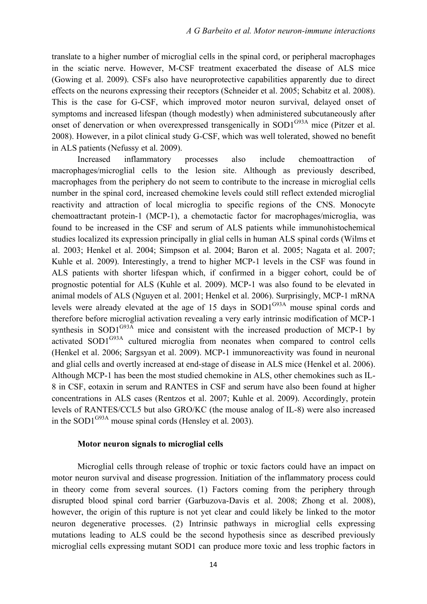translate to a higher number of microglial cells in the spinal cord, or peripheral macrophages in the sciatic nerve. However, M-CSF treatment exacerbated the disease of ALS mice (Gowing et al. 2009). CSFs also have neuroprotective capabilities apparently due to direct effects on the neurons expressing their receptors (Schneider et al. 2005; Schabitz et al. 2008). This is the case for G-CSF, which improved motor neuron survival, delayed onset of symptoms and increased lifespan (though modestly) when administered subcutaneously after onset of denervation or when overexpressed transgenically in SOD1<sup>G93A</sup> mice (Pitzer et al. 2008). However, in a pilot clinical study G-CSF, which was well tolerated, showed no benefit in ALS patients (Nefussy et al. 2009).

Increased inflammatory processes also include chemoattraction of macrophages/microglial cells to the lesion site. Although as previously described, macrophages from the periphery do not seem to contribute to the increase in microglial cells number in the spinal cord, increased chemokine levels could still reflect extended microglial reactivity and attraction of local microglia to specific regions of the CNS. Monocyte chemoattractant protein-1 (MCP-1), a chemotactic factor for macrophages/microglia, was found to be increased in the CSF and serum of ALS patients while immunohistochemical studies localized its expression principally in glial cells in human ALS spinal cords (Wilms et al. 2003; Henkel et al. 2004; Simpson et al. 2004; Baron et al. 2005; Nagata et al. 2007; Kuhle et al. 2009). Interestingly, a trend to higher MCP-1 levels in the CSF was found in ALS patients with shorter lifespan which, if confirmed in a bigger cohort, could be of prognostic potential for ALS (Kuhle et al. 2009). MCP-1 was also found to be elevated in animal models of ALS (Nguyen et al. 2001; Henkel et al. 2006). Surprisingly, MCP-1 mRNA levels were already elevated at the age of 15 days in SOD1<sup>G93A</sup> mouse spinal cords and therefore before microglial activation revealing a very early intrinsic modification of MCP-1 synthesis in SOD1<sup>G93A</sup> mice and consistent with the increased production of MCP-1 by activated SOD1<sup>G93A</sup> cultured microglia from neonates when compared to control cells (Henkel et al. 2006; Sargsyan et al. 2009). MCP-1 immunoreactivity was found in neuronal and glial cells and overtly increased at end-stage of disease in ALS mice (Henkel et al. 2006). Although MCP-1 has been the most studied chemokine in ALS, other chemokines such as IL-8 in CSF, eotaxin in serum and RANTES in CSF and serum have also been found at higher concentrations in ALS cases (Rentzos et al. 2007; Kuhle et al. 2009). Accordingly, protein levels of RANTES/CCL5 but also GRO/KC (the mouse analog of IL-8) were also increased in the SOD1 $G<sup>93A</sup>$  mouse spinal cords (Hensley et al. 2003).

#### **Motor neuron signals to microglial cells**

Microglial cells through release of trophic or toxic factors could have an impact on motor neuron survival and disease progression. Initiation of the inflammatory process could in theory come from several sources. (1) Factors coming from the periphery through disrupted blood spinal cord barrier (Garbuzova-Davis et al. 2008; Zhong et al. 2008), however, the origin of this rupture is not yet clear and could likely be linked to the motor neuron degenerative processes. (2) Intrinsic pathways in microglial cells expressing mutations leading to ALS could be the second hypothesis since as described previously microglial cells expressing mutant SOD1 can produce more toxic and less trophic factors in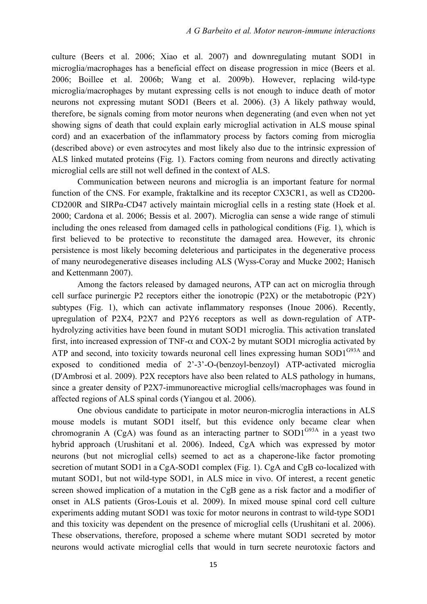culture (Beers et al. 2006; Xiao et al. 2007) and downregulating mutant SOD1 in microglia/macrophages has a beneficial effect on disease progression in mice (Beers et al. 2006; Boillee et al. 2006b; Wang et al. 2009b). However, replacing wild-type microglia/macrophages by mutant expressing cells is not enough to induce death of motor neurons not expressing mutant SOD1 (Beers et al. 2006). (3) A likely pathway would, therefore, be signals coming from motor neurons when degenerating (and even when not yet showing signs of death that could explain early microglial activation in ALS mouse spinal cord) and an exacerbation of the inflammatory process by factors coming from microglia (described above) or even astrocytes and most likely also due to the intrinsic expression of ALS linked mutated proteins (Fig. 1). Factors coming from neurons and directly activating microglial cells are still not well defined in the context of ALS.

Communication between neurons and microglia is an important feature for normal function of the CNS. For example, fraktalkine and its receptor CX3CR1, as well as CD200- CD200R and SIRPα-CD47 actively maintain microglial cells in a resting state (Hoek et al. 2000; Cardona et al. 2006; Bessis et al. 2007). Microglia can sense a wide range of stimuli including the ones released from damaged cells in pathological conditions (Fig. 1), which is first believed to be protective to reconstitute the damaged area. However, its chronic persistence is most likely becoming deleterious and participates in the degenerative process of many neurodegenerative diseases including ALS (Wyss-Coray and Mucke 2002; Hanisch and Kettenmann 2007).

Among the factors released by damaged neurons, ATP can act on microglia through cell surface purinergic P2 receptors either the ionotropic (P2X) or the metabotropic (P2Y) subtypes (Fig. 1), which can activate inflammatory responses (Inoue 2006). Recently, upregulation of P2X4, P2X7 and P2Y6 receptors as well as down-regulation of ATPhydrolyzing activities have been found in mutant SOD1 microglia. This activation translated first, into increased expression of TNF- $\alpha$  and COX-2 by mutant SOD1 microglia activated by ATP and second, into toxicity towards neuronal cell lines expressing human  $SOD1^{G93A}$  and exposed to conditioned media of 2'-3'-O-(benzoyl-benzoyl) ATP-activated microglia (D'Ambrosi et al. 2009). P2X receptors have also been related to ALS pathology in humans, since a greater density of P2X7-immunoreactive microglial cells/macrophages was found in affected regions of ALS spinal cords (Yiangou et al. 2006).

One obvious candidate to participate in motor neuron-microglia interactions in ALS mouse models is mutant SOD1 itself, but this evidence only became clear when chromogranin A (CgA) was found as an interacting partner to  $SOD1^{G93A}$  in a yeast two hybrid approach (Urushitani et al. 2006). Indeed, CgA which was expressed by motor neurons (but not microglial cells) seemed to act as a chaperone-like factor promoting secretion of mutant SOD1 in a CgA-SOD1 complex (Fig. 1). CgA and CgB co-localized with mutant SOD1, but not wild-type SOD1, in ALS mice in vivo. Of interest, a recent genetic screen showed implication of a mutation in the CgB gene as a risk factor and a modifier of onset in ALS patients (Gros-Louis et al. 2009). In mixed mouse spinal cord cell culture experiments adding mutant SOD1 was toxic for motor neurons in contrast to wild-type SOD1 and this toxicity was dependent on the presence of microglial cells (Urushitani et al. 2006). These observations, therefore, proposed a scheme where mutant SOD1 secreted by motor neurons would activate microglial cells that would in turn secrete neurotoxic factors and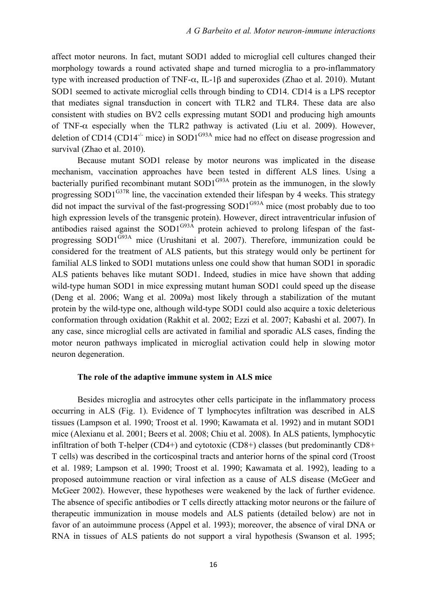affect motor neurons. In fact, mutant SOD1 added to microglial cell cultures changed their morphology towards a round activated shape and turned microglia to a pro-inflammatory type with increased production of TNF-α, IL-1β and superoxides (Zhao et al. 2010). Mutant SOD1 seemed to activate microglial cells through binding to CD14. CD14 is a LPS receptor that mediates signal transduction in concert with TLR2 and TLR4. These data are also consistent with studies on BV2 cells expressing mutant SOD1 and producing high amounts of TNF- $\alpha$  especially when the TLR2 pathway is activated (Liu et al. 2009). However, deletion of CD14 (CD14<sup>-/-</sup> mice) in SOD1<sup>G93A</sup> mice had no effect on disease progression and survival (Zhao et al. 2010).

Because mutant SOD1 release by motor neurons was implicated in the disease mechanism, vaccination approaches have been tested in different ALS lines. Using a bacterially purified recombinant mutant  $SOD1^{G93A}$  protein as the immunogen, in the slowly progressing SOD1<sup>G37R</sup> line, the vaccination extended their lifespan by 4 weeks. This strategy did not impact the survival of the fast-progressing  $SOD1^{G93A}$  mice (most probably due to too high expression levels of the transgenic protein). However, direct intraventricular infusion of antibodies raised against the SOD1<sup>G93A</sup> protein achieved to prolong lifespan of the fastprogressing SOD1<sup>G93A</sup> mice (Urushitani et al. 2007). Therefore, immunization could be considered for the treatment of ALS patients, but this strategy would only be pertinent for familial ALS linked to SOD1 mutations unless one could show that human SOD1 in sporadic ALS patients behaves like mutant SOD1. Indeed, studies in mice have shown that adding wild-type human SOD1 in mice expressing mutant human SOD1 could speed up the disease (Deng et al. 2006; Wang et al. 2009a) most likely through a stabilization of the mutant protein by the wild-type one, although wild-type SOD1 could also acquire a toxic deleterious conformation through oxidation (Rakhit et al. 2002; Ezzi et al. 2007; Kabashi et al. 2007). In any case, since microglial cells are activated in familial and sporadic ALS cases, finding the motor neuron pathways implicated in microglial activation could help in slowing motor neuron degeneration.

#### **The role of the adaptive immune system in ALS mice**

Besides microglia and astrocytes other cells participate in the inflammatory process occurring in ALS (Fig. 1). Evidence of T lymphocytes infiltration was described in ALS tissues (Lampson et al. 1990; Troost et al. 1990; Kawamata et al. 1992) and in mutant SOD1 mice (Alexianu et al. 2001; Beers et al. 2008; Chiu et al. 2008). In ALS patients, lymphocytic infiltration of both T-helper (CD4+) and cytotoxic (CD8+) classes (but predominantly CD8+ T cells) was described in the corticospinal tracts and anterior horns of the spinal cord (Troost et al. 1989; Lampson et al. 1990; Troost et al. 1990; Kawamata et al. 1992), leading to a proposed autoimmune reaction or viral infection as a cause of ALS disease (McGeer and McGeer 2002). However, these hypotheses were weakened by the lack of further evidence. The absence of specific antibodies or T cells directly attacking motor neurons or the failure of therapeutic immunization in mouse models and ALS patients (detailed below) are not in favor of an autoimmune process (Appel et al. 1993); moreover, the absence of viral DNA or RNA in tissues of ALS patients do not support a viral hypothesis (Swanson et al. 1995;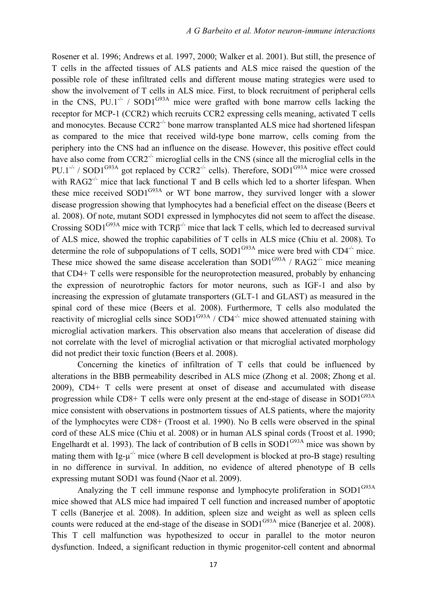Rosener et al. 1996; Andrews et al. 1997, 2000; Walker et al. 2001). But still, the presence of T cells in the affected tissues of ALS patients and ALS mice raised the question of the possible role of these infiltrated cells and different mouse mating strategies were used to show the involvement of T cells in ALS mice. First, to block recruitment of peripheral cells in the CNS,  $PU.1^{-/-}$  / SOD1<sup>G93A</sup> mice were grafted with bone marrow cells lacking the receptor for MCP-1 (CCR2) which recruits CCR2 expressing cells meaning, activated T cells and monocytes. Because  $CCR2^{-1}$  bone marrow transplanted ALS mice had shortened lifespan as compared to the mice that received wild-type bone marrow, cells coming from the periphery into the CNS had an influence on the disease. However, this positive effect could have also come from  $CCR2^{-/-}$  microglial cells in the CNS (since all the microglial cells in the PU.1<sup>-/-</sup> / SOD1<sup>G93A</sup> got replaced by CCR2<sup>-/-</sup> cells). Therefore, SOD1<sup>G93A</sup> mice were crossed with  $RAG2^{-/-}$  mice that lack functional T and B cells which led to a shorter lifespan. When these mice received  $SOD1^{G93A}$  or WT bone marrow, they survived longer with a slower disease progression showing that lymphocytes had a beneficial effect on the disease (Beers et al. 2008). Of note, mutant SOD1 expressed in lymphocytes did not seem to affect the disease. Crossing SOD1<sup>G93A</sup> mice with  $TCR\beta^{-1}$  mice that lack T cells, which led to decreased survival of ALS mice, showed the trophic capabilities of T cells in ALS mice (Chiu et al. 2008). To determine the role of subpopulations of T cells,  $SOD1^{G93A}$  mice were bred with  $CD4^{-/-}$  mice. These mice showed the same disease acceleration than  $SOD1^{G93A}$  /  $RAG2^{-/-}$  mice meaning that CD4+ T cells were responsible for the neuroprotection measured, probably by enhancing the expression of neurotrophic factors for motor neurons, such as IGF-1 and also by increasing the expression of glutamate transporters (GLT-1 and GLAST) as measured in the spinal cord of these mice (Beers et al. 2008). Furthermore, T cells also modulated the reactivity of microglial cells since  $SOD1^{G93A} / CD4^{-/-}$  mice showed attenuated staining with microglial activation markers. This observation also means that acceleration of disease did not correlate with the level of microglial activation or that microglial activated morphology did not predict their toxic function (Beers et al. 2008).

Concerning the kinetics of infiltration of T cells that could be influenced by alterations in the BBB permeability described in ALS mice (Zhong et al. 2008; Zhong et al. 2009), CD4+ T cells were present at onset of disease and accumulated with disease progression while CD8+ T cells were only present at the end-stage of disease in SOD1 $^{G93A}$ mice consistent with observations in postmortem tissues of ALS patients, where the majority of the lymphocytes were CD8+ (Troost et al. 1990). No B cells were observed in the spinal cord of these ALS mice (Chiu et al. 2008) or in human ALS spinal cords (Troost et al. 1990; Engelhardt et al. 1993). The lack of contribution of B cells in  $SOD1^{G93A}$  mice was shown by mating them with Ig- $\mu$ <sup>-/-</sup> mice (where B cell development is blocked at pro-B stage) resulting in no difference in survival. In addition, no evidence of altered phenotype of B cells expressing mutant SOD1 was found (Naor et al. 2009).

Analyzing the T cell immune response and lymphocyte proliferation in  $SOD1^{G93A}$ mice showed that ALS mice had impaired T cell function and increased number of apoptotic T cells (Banerjee et al. 2008). In addition, spleen size and weight as well as spleen cells counts were reduced at the end-stage of the disease in SOD1<sup>G93A</sup> mice (Banerjee et al. 2008). This T cell malfunction was hypothesized to occur in parallel to the motor neuron dysfunction. Indeed, a significant reduction in thymic progenitor-cell content and abnormal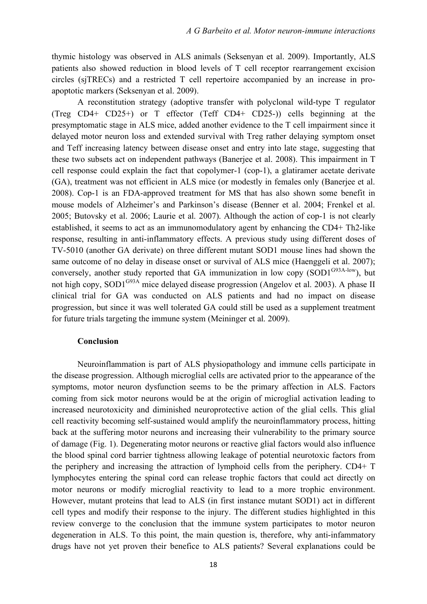thymic histology was observed in ALS animals (Seksenyan et al. 2009). Importantly, ALS patients also showed reduction in blood levels of T cell receptor rearrangement excision circles (sjTRECs) and a restricted T cell repertoire accompanied by an increase in proapoptotic markers (Seksenyan et al. 2009).

A reconstitution strategy (adoptive transfer with polyclonal wild-type T regulator (Treg CD4+ CD25+) or T effector (Teff CD4+ CD25-)) cells beginning at the presymptomatic stage in ALS mice, added another evidence to the T cell impairment since it delayed motor neuron loss and extended survival with Treg rather delaying symptom onset and Teff increasing latency between disease onset and entry into late stage, suggesting that these two subsets act on independent pathways (Banerjee et al. 2008). This impairment in T cell response could explain the fact that copolymer-1 (cop-1), a glatiramer acetate derivate (GA), treatment was not efficient in ALS mice (or modestly in females only (Banerjee et al. 2008). Cop-1 is an FDA-approved treatment for MS that has also shown some benefit in mouse models of Alzheimer's and Parkinson's disease (Benner et al. 2004; Frenkel et al. 2005; Butovsky et al. 2006; Laurie et al. 2007). Although the action of cop-1 is not clearly established, it seems to act as an immunomodulatory agent by enhancing the CD4+ Th2-like response, resulting in anti-inflammatory effects. A previous study using different doses of TV-5010 (another GA derivate) on three different mutant SOD1 mouse lines had shown the same outcome of no delay in disease onset or survival of ALS mice (Haenggeli et al. 2007); conversely, another study reported that GA immunization in low copy  $(SOD1^{G93A-low})$ , but not high copy, SOD1<sup>G93A</sup> mice delayed disease progression (Angelov et al. 2003). A phase II clinical trial for GA was conducted on ALS patients and had no impact on disease progression, but since it was well tolerated GA could still be used as a supplement treatment for future trials targeting the immune system (Meininger et al. 2009).

#### **Conclusion**

Neuroinflammation is part of ALS physiopathology and immune cells participate in the disease progression. Although microglial cells are activated prior to the appearance of the symptoms, motor neuron dysfunction seems to be the primary affection in ALS. Factors coming from sick motor neurons would be at the origin of microglial activation leading to increased neurotoxicity and diminished neuroprotective action of the glial cells. This glial cell reactivity becoming self-sustained would amplify the neuroinflammatory process, hitting back at the suffering motor neurons and increasing their vulnerability to the primary source of damage (Fig. 1). Degenerating motor neurons or reactive glial factors would also influence the blood spinal cord barrier tightness allowing leakage of potential neurotoxic factors from the periphery and increasing the attraction of lymphoid cells from the periphery. CD4+ T lymphocytes entering the spinal cord can release trophic factors that could act directly on motor neurons or modify microglial reactivity to lead to a more trophic environment. However, mutant proteins that lead to ALS (in first instance mutant SOD1) act in different cell types and modify their response to the injury. The different studies highlighted in this review converge to the conclusion that the immune system participates to motor neuron degeneration in ALS. To this point, the main question is, therefore, why anti-infammatory drugs have not yet proven their benefice to ALS patients? Several explanations could be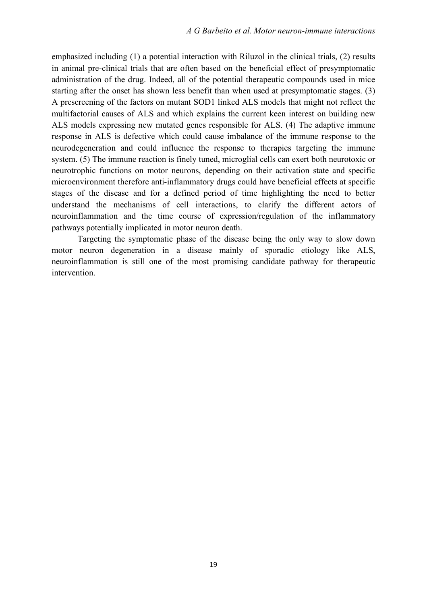emphasized including (1) a potential interaction with Riluzol in the clinical trials, (2) results in animal pre-clinical trials that are often based on the beneficial effect of presymptomatic administration of the drug. Indeed, all of the potential therapeutic compounds used in mice starting after the onset has shown less benefit than when used at presymptomatic stages. (3) A prescreening of the factors on mutant SOD1 linked ALS models that might not reflect the multifactorial causes of ALS and which explains the current keen interest on building new ALS models expressing new mutated genes responsible for ALS. (4) The adaptive immune response in ALS is defective which could cause imbalance of the immune response to the neurodegeneration and could influence the response to therapies targeting the immune system. (5) The immune reaction is finely tuned, microglial cells can exert both neurotoxic or neurotrophic functions on motor neurons, depending on their activation state and specific microenvironment therefore anti-inflammatory drugs could have beneficial effects at specific stages of the disease and for a defined period of time highlighting the need to better understand the mechanisms of cell interactions, to clarify the different actors of neuroinflammation and the time course of expression/regulation of the inflammatory pathways potentially implicated in motor neuron death.

Targeting the symptomatic phase of the disease being the only way to slow down motor neuron degeneration in a disease mainly of sporadic etiology like ALS, neuroinflammation is still one of the most promising candidate pathway for therapeutic intervention.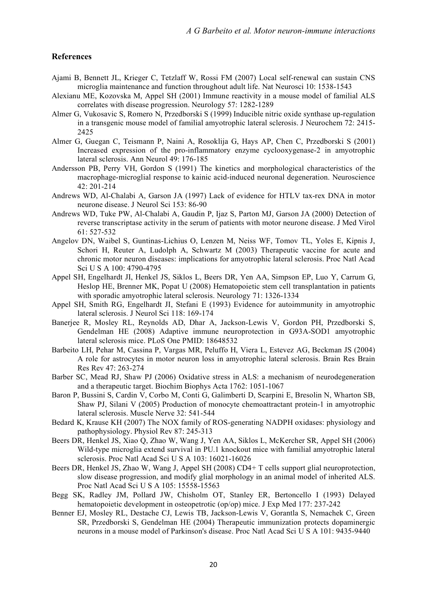#### **References**

- Ajami B, Bennett JL, Krieger C, Tetzlaff W, Rossi FM (2007) Local self-renewal can sustain CNS microglia maintenance and function throughout adult life. Nat Neurosci 10: 1538-1543
- Alexianu ME, Kozovska M, Appel SH (2001) Immune reactivity in a mouse model of familial ALS correlates with disease progression. Neurology 57: 1282-1289
- Almer G, Vukosavic S, Romero N, Przedborski S (1999) Inducible nitric oxide synthase up-regulation in a transgenic mouse model of familial amyotrophic lateral sclerosis. J Neurochem 72: 2415- 2425
- Almer G, Guegan C, Teismann P, Naini A, Rosoklija G, Hays AP, Chen C, Przedborski S (2001) Increased expression of the pro-inflammatory enzyme cyclooxygenase-2 in amyotrophic lateral sclerosis. Ann Neurol 49: 176-185
- Andersson PB, Perry VH, Gordon S (1991) The kinetics and morphological characteristics of the macrophage-microglial response to kainic acid-induced neuronal degeneration. Neuroscience  $42 \cdot 201 - 214$
- Andrews WD, Al-Chalabi A, Garson JA (1997) Lack of evidence for HTLV tax-rex DNA in motor neurone disease. J Neurol Sci 153: 86-90
- Andrews WD, Tuke PW, Al-Chalabi A, Gaudin P, Ijaz S, Parton MJ, Garson JA (2000) Detection of reverse transcriptase activity in the serum of patients with motor neurone disease. J Med Virol 61: 527-532
- Angelov DN, Waibel S, Guntinas-Lichius O, Lenzen M, Neiss WF, Tomov TL, Yoles E, Kipnis J, Schori H, Reuter A, Ludolph A, Schwartz M (2003) Therapeutic vaccine for acute and chronic motor neuron diseases: implications for amyotrophic lateral sclerosis. Proc Natl Acad Sci U S A 100: 4790-4795
- Appel SH, Engelhardt JI, Henkel JS, Siklos L, Beers DR, Yen AA, Simpson EP, Luo Y, Carrum G, Heslop HE, Brenner MK, Popat U (2008) Hematopoietic stem cell transplantation in patients with sporadic amyotrophic lateral sclerosis. Neurology 71: 1326-1334
- Appel SH, Smith RG, Engelhardt JI, Stefani E (1993) Evidence for autoimmunity in amyotrophic lateral sclerosis. J Neurol Sci 118: 169-174
- Banerjee R, Mosley RL, Reynolds AD, Dhar A, Jackson-Lewis V, Gordon PH, Przedborski S, Gendelman HE (2008) Adaptive immune neuroprotection in G93A-SOD1 amyotrophic lateral sclerosis mice. PLoS One PMID: 18648532
- Barbeito LH, Pehar M, Cassina P, Vargas MR, Peluffo H, Viera L, Estevez AG, Beckman JS (2004) A role for astrocytes in motor neuron loss in amyotrophic lateral sclerosis. Brain Res Brain Res Rev 47: 263-274
- Barber SC, Mead RJ, Shaw PJ (2006) Oxidative stress in ALS: a mechanism of neurodegeneration and a therapeutic target. Biochim Biophys Acta 1762: 1051-1067
- Baron P, Bussini S, Cardin V, Corbo M, Conti G, Galimberti D, Scarpini E, Bresolin N, Wharton SB, Shaw PJ, Silani V (2005) Production of monocyte chemoattractant protein-1 in amyotrophic lateral sclerosis. Muscle Nerve 32: 541-544
- Bedard K, Krause KH (2007) The NOX family of ROS-generating NADPH oxidases: physiology and pathophysiology. Physiol Rev 87: 245-313
- Beers DR, Henkel JS, Xiao Q, Zhao W, Wang J, Yen AA, Siklos L, McKercher SR, Appel SH (2006) Wild-type microglia extend survival in PU.1 knockout mice with familial amyotrophic lateral sclerosis. Proc Natl Acad Sci U S A 103: 16021-16026
- Beers DR, Henkel JS, Zhao W, Wang J, Appel SH (2008) CD4+ T cells support glial neuroprotection, slow disease progression, and modify glial morphology in an animal model of inherited ALS. Proc Natl Acad Sci U S A 105: 15558-15563
- Begg SK, Radley JM, Pollard JW, Chisholm OT, Stanley ER, Bertoncello I (1993) Delayed hematopoietic development in osteopetrotic (op/op) mice. J Exp Med 177: 237-242
- Benner EJ, Mosley RL, Destache CJ, Lewis TB, Jackson-Lewis V, Gorantla S, Nemachek C, Green SR, Przedborski S, Gendelman HE (2004) Therapeutic immunization protects dopaminergic neurons in a mouse model of Parkinson's disease. Proc Natl Acad Sci U S A 101: 9435-9440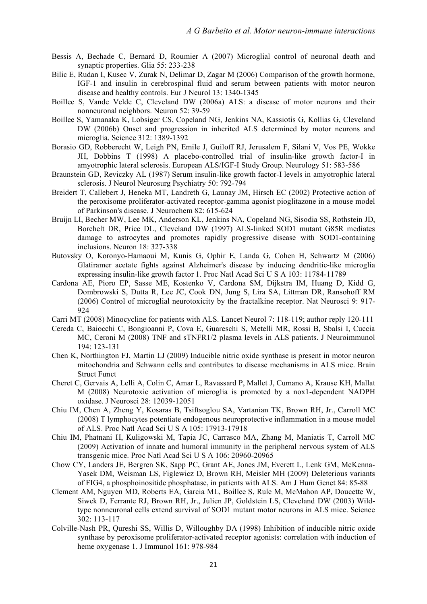- Bessis A, Bechade C, Bernard D, Roumier A (2007) Microglial control of neuronal death and synaptic properties. Glia 55: 233-238
- Bilic E, Rudan I, Kusec V, Zurak N, Delimar D, Zagar M (2006) Comparison of the growth hormone, IGF-1 and insulin in cerebrospinal fluid and serum between patients with motor neuron disease and healthy controls. Eur J Neurol 13: 1340-1345
- Boillee S, Vande Velde C, Cleveland DW (2006a) ALS: a disease of motor neurons and their nonneuronal neighbors. Neuron 52: 39-59
- Boillee S, Yamanaka K, Lobsiger CS, Copeland NG, Jenkins NA, Kassiotis G, Kollias G, Cleveland DW (2006b) Onset and progression in inherited ALS determined by motor neurons and microglia. Science 312: 1389-1392
- Borasio GD, Robberecht W, Leigh PN, Emile J, Guiloff RJ, Jerusalem F, Silani V, Vos PE, Wokke JH, Dobbins T (1998) A placebo-controlled trial of insulin-like growth factor-I in amyotrophic lateral sclerosis. European ALS/IGF-I Study Group. Neurology 51: 583-586
- Braunstein GD, Reviczky AL (1987) Serum insulin-like growth factor-I levels in amyotrophic lateral sclerosis. J Neurol Neurosurg Psychiatry 50: 792-794
- Breidert T, Callebert J, Heneka MT, Landreth G, Launay JM, Hirsch EC (2002) Protective action of the peroxisome proliferator-activated receptor-gamma agonist pioglitazone in a mouse model of Parkinson's disease. J Neurochem 82: 615-624
- Bruijn LI, Becher MW, Lee MK, Anderson KL, Jenkins NA, Copeland NG, Sisodia SS, Rothstein JD, Borchelt DR, Price DL, Cleveland DW (1997) ALS-linked SOD1 mutant G85R mediates damage to astrocytes and promotes rapidly progressive disease with SOD1-containing inclusions. Neuron 18: 327-338
- Butovsky O, Koronyo-Hamaoui M, Kunis G, Ophir E, Landa G, Cohen H, Schwartz M (2006) Glatiramer acetate fights against Alzheimer's disease by inducing dendritic-like microglia expressing insulin-like growth factor 1. Proc Natl Acad Sci U S A 103: 11784-11789
- Cardona AE, Pioro EP, Sasse ME, Kostenko V, Cardona SM, Dijkstra IM, Huang D, Kidd G, Dombrowski S, Dutta R, Lee JC, Cook DN, Jung S, Lira SA, Littman DR, Ransohoff RM (2006) Control of microglial neurotoxicity by the fractalkine receptor. Nat Neurosci 9: 917- 924
- Carri MT (2008) Minocycline for patients with ALS. Lancet Neurol 7: 118-119; author reply 120-111
- Cereda C, Baiocchi C, Bongioanni P, Cova E, Guareschi S, Metelli MR, Rossi B, Sbalsi I, Cuccia MC, Ceroni M (2008) TNF and sTNFR1/2 plasma levels in ALS patients. J Neuroimmunol 194: 123-131
- Chen K, Northington FJ, Martin LJ (2009) Inducible nitric oxide synthase is present in motor neuron mitochondria and Schwann cells and contributes to disease mechanisms in ALS mice. Brain Struct Funct
- Cheret C, Gervais A, Lelli A, Colin C, Amar L, Ravassard P, Mallet J, Cumano A, Krause KH, Mallat M (2008) Neurotoxic activation of microglia is promoted by a nox1-dependent NADPH oxidase. J Neurosci 28: 12039-12051
- Chiu IM, Chen A, Zheng Y, Kosaras B, Tsiftsoglou SA, Vartanian TK, Brown RH, Jr., Carroll MC (2008) T lymphocytes potentiate endogenous neuroprotective inflammation in a mouse model of ALS. Proc Natl Acad Sci U S A 105: 17913-17918
- Chiu IM, Phatnani H, Kuligowski M, Tapia JC, Carrasco MA, Zhang M, Maniatis T, Carroll MC (2009) Activation of innate and humoral immunity in the peripheral nervous system of ALS transgenic mice. Proc Natl Acad Sci U S A 106: 20960-20965
- Chow CY, Landers JE, Bergren SK, Sapp PC, Grant AE, Jones JM, Everett L, Lenk GM, McKenna-Yasek DM, Weisman LS, Figlewicz D, Brown RH, Meisler MH (2009) Deleterious variants of FIG4, a phosphoinositide phosphatase, in patients with ALS. Am J Hum Genet 84: 85-88
- Clement AM, Nguyen MD, Roberts EA, Garcia ML, Boillee S, Rule M, McMahon AP, Doucette W, Siwek D, Ferrante RJ, Brown RH, Jr., Julien JP, Goldstein LS, Cleveland DW (2003) Wildtype nonneuronal cells extend survival of SOD1 mutant motor neurons in ALS mice. Science 302: 113-117
- Colville-Nash PR, Qureshi SS, Willis D, Willoughby DA (1998) Inhibition of inducible nitric oxide synthase by peroxisome proliferator-activated receptor agonists: correlation with induction of heme oxygenase 1. J Immunol 161: 978-984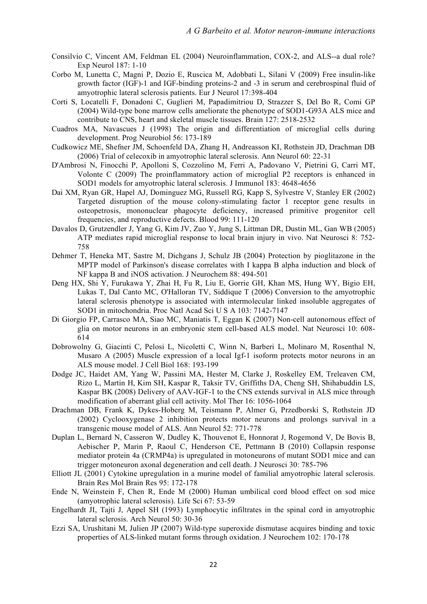- Consilvio C, Vincent AM, Feldman EL (2004) Neuroinflammation, COX-2, and ALS--a dual role? Exp Neurol 187: 1-10
- Corbo M, Lunetta C, Magni P, Dozio E, Ruscica M, Adobbati L, Silani V (2009) Free insulin-like growth factor (IGF)-1 and IGF-binding proteins-2 and -3 in serum and cerebrospinal fluid of amyotrophic lateral sclerosis patients. Eur J Neurol 17:398-404
- Corti S, Locatelli F, Donadoni C, Guglieri M, Papadimitriou D, Strazzer S, Del Bo R, Comi GP (2004) Wild-type bone marrow cells ameliorate the phenotype of SOD1-G93A ALS mice and contribute to CNS, heart and skeletal muscle tissues. Brain 127: 2518-2532
- Cuadros MA, Navascues J (1998) The origin and differentiation of microglial cells during development. Prog Neurobiol 56: 173-189
- Cudkowicz ME, Shefner JM, Schoenfeld DA, Zhang H, Andreasson KI, Rothstein JD, Drachman DB (2006) Trial of celecoxib in amyotrophic lateral sclerosis. Ann Neurol 60: 22-31
- D'Ambrosi N, Finocchi P, Apolloni S, Cozzolino M, Ferri A, Padovano V, Pietrini G, Carri MT, Volonte C (2009) The proinflammatory action of microglial P2 receptors is enhanced in SOD1 models for amyotrophic lateral sclerosis. J Immunol 183: 4648-4656
- Dai XM, Ryan GR, Hapel AJ, Dominguez MG, Russell RG, Kapp S, Sylvestre V, Stanley ER (2002) Targeted disruption of the mouse colony-stimulating factor 1 receptor gene results in osteopetrosis, mononuclear phagocyte deficiency, increased primitive progenitor cell frequencies, and reproductive defects. Blood 99: 111-120
- Davalos D, Grutzendler J, Yang G, Kim JV, Zuo Y, Jung S, Littman DR, Dustin ML, Gan WB (2005) ATP mediates rapid microglial response to local brain injury in vivo. Nat Neurosci 8: 752- 758
- Dehmer T, Heneka MT, Sastre M, Dichgans J, Schulz JB (2004) Protection by pioglitazone in the MPTP model of Parkinson's disease correlates with I kappa B alpha induction and block of NF kappa B and iNOS activation. J Neurochem 88: 494-501
- Deng HX, Shi Y, Furukawa Y, Zhai H, Fu R, Liu E, Gorrie GH, Khan MS, Hung WY, Bigio EH, Lukas T, Dal Canto MC, O'Halloran TV, Siddique T (2006) Conversion to the amyotrophic lateral sclerosis phenotype is associated with intermolecular linked insoluble aggregates of SOD1 in mitochondria. Proc Natl Acad Sci U S A 103: 7142-7147
- Di Giorgio FP, Carrasco MA, Siao MC, Maniatis T, Eggan K (2007) Non-cell autonomous effect of glia on motor neurons in an embryonic stem cell-based ALS model. Nat Neurosci 10: 608- 614
- Dobrowolny G, Giacinti C, Pelosi L, Nicoletti C, Winn N, Barberi L, Molinaro M, Rosenthal N, Musaro A (2005) Muscle expression of a local Igf-1 isoform protects motor neurons in an ALS mouse model. J Cell Biol 168: 193-199
- Dodge JC, Haidet AM, Yang W, Passini MA, Hester M, Clarke J, Roskelley EM, Treleaven CM, Rizo L, Martin H, Kim SH, Kaspar R, Taksir TV, Griffiths DA, Cheng SH, Shihabuddin LS, Kaspar BK (2008) Delivery of AAV-IGF-1 to the CNS extends survival in ALS mice through modification of aberrant glial cell activity. Mol Ther 16: 1056-1064
- Drachman DB, Frank K, Dykes-Hoberg M, Teismann P, Almer G, Przedborski S, Rothstein JD (2002) Cyclooxygenase 2 inhibition protects motor neurons and prolongs survival in a transgenic mouse model of ALS. Ann Neurol 52: 771-778
- Duplan L, Bernard N, Casseron W, Dudley K, Thouvenot E, Honnorat J, Rogemond V, De Bovis B, Aebischer P, Marin P, Raoul C, Henderson CE, Pettmann B (2010) Collapsin response mediator protein 4a (CRMP4a) is upregulated in motoneurons of mutant SOD1 mice and can trigger motoneuron axonal degeneration and cell death. J Neurosci 30: 785-796
- Elliott JL (2001) Cytokine upregulation in a murine model of familial amyotrophic lateral sclerosis. Brain Res Mol Brain Res 95: 172-178
- Ende N, Weinstein F, Chen R, Ende M (2000) Human umbilical cord blood effect on sod mice (amyotrophic lateral sclerosis). Life Sci 67: 53-59
- Engelhardt JI, Tajti J, Appel SH (1993) Lymphocytic infiltrates in the spinal cord in amyotrophic lateral sclerosis. Arch Neurol 50: 30-36
- Ezzi SA, Urushitani M, Julien JP (2007) Wild-type superoxide dismutase acquires binding and toxic properties of ALS-linked mutant forms through oxidation. J Neurochem 102: 170-178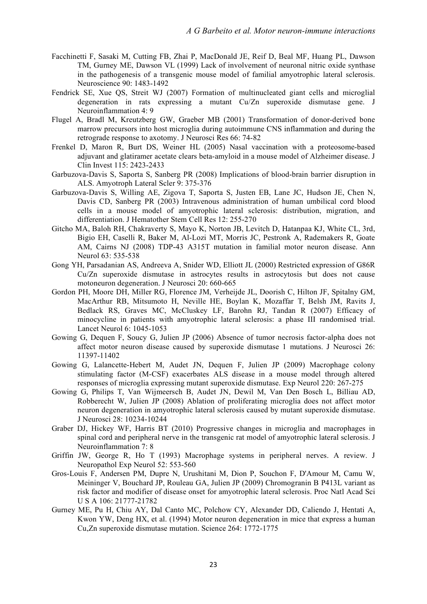- Facchinetti F, Sasaki M, Cutting FB, Zhai P, MacDonald JE, Reif D, Beal MF, Huang PL, Dawson TM, Gurney ME, Dawson VL (1999) Lack of involvement of neuronal nitric oxide synthase in the pathogenesis of a transgenic mouse model of familial amyotrophic lateral sclerosis. Neuroscience 90: 1483-1492
- Fendrick SE, Xue QS, Streit WJ (2007) Formation of multinucleated giant cells and microglial degeneration in rats expressing a mutant Cu/Zn superoxide dismutase gene. J Neuroinflammation 4: 9
- Flugel A, Bradl M, Kreutzberg GW, Graeber MB (2001) Transformation of donor-derived bone marrow precursors into host microglia during autoimmune CNS inflammation and during the retrograde response to axotomy. J Neurosci Res 66: 74-82
- Frenkel D, Maron R, Burt DS, Weiner HL (2005) Nasal vaccination with a proteosome-based adjuvant and glatiramer acetate clears beta-amyloid in a mouse model of Alzheimer disease. J Clin Invest 115: 2423-2433
- Garbuzova-Davis S, Saporta S, Sanberg PR (2008) Implications of blood-brain barrier disruption in ALS. Amyotroph Lateral Scler 9: 375-376
- Garbuzova-Davis S, Willing AE, Zigova T, Saporta S, Justen EB, Lane JC, Hudson JE, Chen N, Davis CD, Sanberg PR (2003) Intravenous administration of human umbilical cord blood cells in a mouse model of amyotrophic lateral sclerosis: distribution, migration, and differentiation. J Hematother Stem Cell Res 12: 255-270
- Gitcho MA, Baloh RH, Chakraverty S, Mayo K, Norton JB, Levitch D, Hatanpaa KJ, White CL, 3rd, Bigio EH, Caselli R, Baker M, Al-Lozi MT, Morris JC, Pestronk A, Rademakers R, Goate AM, Cairns NJ (2008) TDP-43 A315T mutation in familial motor neuron disease. Ann Neurol 63: 535-538
- Gong YH, Parsadanian AS, Andreeva A, Snider WD, Elliott JL (2000) Restricted expression of G86R Cu/Zn superoxide dismutase in astrocytes results in astrocytosis but does not cause motoneuron degeneration. J Neurosci 20: 660-665
- Gordon PH, Moore DH, Miller RG, Florence JM, Verheijde JL, Doorish C, Hilton JF, Spitalny GM, MacArthur RB, Mitsumoto H, Neville HE, Boylan K, Mozaffar T, Belsh JM, Ravits J, Bedlack RS, Graves MC, McCluskey LF, Barohn RJ, Tandan R (2007) Efficacy of minocycline in patients with amyotrophic lateral sclerosis: a phase III randomised trial. Lancet Neurol 6: 1045-1053
- Gowing G, Dequen F, Soucy G, Julien JP (2006) Absence of tumor necrosis factor-alpha does not affect motor neuron disease caused by superoxide dismutase 1 mutations. J Neurosci 26: 11397-11402
- Gowing G, Lalancette-Hebert M, Audet JN, Dequen F, Julien JP (2009) Macrophage colony stimulating factor (M-CSF) exacerbates ALS disease in a mouse model through altered responses of microglia expressing mutant superoxide dismutase. Exp Neurol 220: 267-275
- Gowing G, Philips T, Van Wijmeersch B, Audet JN, Dewil M, Van Den Bosch L, Billiau AD, Robberecht W, Julien JP (2008) Ablation of proliferating microglia does not affect motor neuron degeneration in amyotrophic lateral sclerosis caused by mutant superoxide dismutase. J Neurosci 28: 10234-10244
- Graber DJ, Hickey WF, Harris BT (2010) Progressive changes in microglia and macrophages in spinal cord and peripheral nerve in the transgenic rat model of amyotrophic lateral sclerosis. J Neuroinflammation 7: 8
- Griffin JW, George R, Ho T (1993) Macrophage systems in peripheral nerves. A review. J Neuropathol Exp Neurol 52: 553-560
- Gros-Louis F, Andersen PM, Dupre N, Urushitani M, Dion P, Souchon F, D'Amour M, Camu W, Meininger V, Bouchard JP, Rouleau GA, Julien JP (2009) Chromogranin B P413L variant as risk factor and modifier of disease onset for amyotrophic lateral sclerosis. Proc Natl Acad Sci U S A 106: 21777-21782
- Gurney ME, Pu H, Chiu AY, Dal Canto MC, Polchow CY, Alexander DD, Caliendo J, Hentati A, Kwon YW, Deng HX, et al. (1994) Motor neuron degeneration in mice that express a human Cu,Zn superoxide dismutase mutation. Science 264: 1772-1775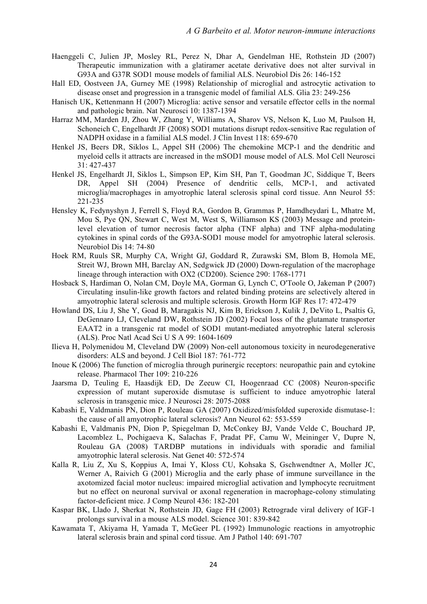- Haenggeli C, Julien JP, Mosley RL, Perez N, Dhar A, Gendelman HE, Rothstein JD (2007) Therapeutic immunization with a glatiramer acetate derivative does not alter survival in G93A and G37R SOD1 mouse models of familial ALS. Neurobiol Dis 26: 146-152
- Hall ED, Oostveen JA, Gurney ME (1998) Relationship of microglial and astrocytic activation to disease onset and progression in a transgenic model of familial ALS. Glia 23: 249-256
- Hanisch UK, Kettenmann H (2007) Microglia: active sensor and versatile effector cells in the normal and pathologic brain. Nat Neurosci 10: 1387-1394
- Harraz MM, Marden JJ, Zhou W, Zhang Y, Williams A, Sharov VS, Nelson K, Luo M, Paulson H, Schoneich C, Engelhardt JF (2008) SOD1 mutations disrupt redox-sensitive Rac regulation of NADPH oxidase in a familial ALS model. J Clin Invest 118: 659-670
- Henkel JS, Beers DR, Siklos L, Appel SH (2006) The chemokine MCP-1 and the dendritic and myeloid cells it attracts are increased in the mSOD1 mouse model of ALS. Mol Cell Neurosci 31: 427-437
- Henkel JS, Engelhardt JI, Siklos L, Simpson EP, Kim SH, Pan T, Goodman JC, Siddique T, Beers DR, Appel SH (2004) Presence of dendritic cells, MCP-1, and activated microglia/macrophages in amyotrophic lateral sclerosis spinal cord tissue. Ann Neurol 55: 221-235
- Hensley K, Fedynyshyn J, Ferrell S, Floyd RA, Gordon B, Grammas P, Hamdheydari L, Mhatre M, Mou S, Pye QN, Stewart C, West M, West S, Williamson KS (2003) Message and proteinlevel elevation of tumor necrosis factor alpha (TNF alpha) and TNF alpha-modulating cytokines in spinal cords of the G93A-SOD1 mouse model for amyotrophic lateral sclerosis. Neurobiol Dis 14: 74-80
- Hoek RM, Ruuls SR, Murphy CA, Wright GJ, Goddard R, Zurawski SM, Blom B, Homola ME, Streit WJ, Brown MH, Barclay AN, Sedgwick JD (2000) Down-regulation of the macrophage lineage through interaction with OX2 (CD200). Science 290: 1768-1771
- Hosback S, Hardiman O, Nolan CM, Doyle MA, Gorman G, Lynch C, O'Toole O, Jakeman P (2007) Circulating insulin-like growth factors and related binding proteins are selectively altered in amyotrophic lateral sclerosis and multiple sclerosis. Growth Horm IGF Res 17: 472-479
- Howland DS, Liu J, She Y, Goad B, Maragakis NJ, Kim B, Erickson J, Kulik J, DeVito L, Psaltis G, DeGennaro LJ, Cleveland DW, Rothstein JD (2002) Focal loss of the glutamate transporter EAAT2 in a transgenic rat model of SOD1 mutant-mediated amyotrophic lateral sclerosis (ALS). Proc Natl Acad Sci U S A 99: 1604-1609
- Ilieva H, Polymenidou M, Cleveland DW (2009) Non-cell autonomous toxicity in neurodegenerative disorders: ALS and beyond. J Cell Biol 187: 761-772
- Inoue K (2006) The function of microglia through purinergic receptors: neuropathic pain and cytokine release. Pharmacol Ther 109: 210-226
- Jaarsma D, Teuling E, Haasdijk ED, De Zeeuw CI, Hoogenraad CC (2008) Neuron-specific expression of mutant superoxide dismutase is sufficient to induce amyotrophic lateral sclerosis in transgenic mice. J Neurosci 28: 2075-2088
- Kabashi E, Valdmanis PN, Dion P, Rouleau GA (2007) Oxidized/misfolded superoxide dismutase-1: the cause of all amyotrophic lateral sclerosis? Ann Neurol 62: 553-559
- Kabashi E, Valdmanis PN, Dion P, Spiegelman D, McConkey BJ, Vande Velde C, Bouchard JP, Lacomblez L, Pochigaeva K, Salachas F, Pradat PF, Camu W, Meininger V, Dupre N, Rouleau GA (2008) TARDBP mutations in individuals with sporadic and familial amyotrophic lateral sclerosis. Nat Genet 40: 572-574
- Kalla R, Liu Z, Xu S, Koppius A, Imai Y, Kloss CU, Kohsaka S, Gschwendtner A, Moller JC, Werner A, Raivich G (2001) Microglia and the early phase of immune surveillance in the axotomized facial motor nucleus: impaired microglial activation and lymphocyte recruitment but no effect on neuronal survival or axonal regeneration in macrophage-colony stimulating factor-deficient mice. J Comp Neurol 436: 182-201
- Kaspar BK, Llado J, Sherkat N, Rothstein JD, Gage FH (2003) Retrograde viral delivery of IGF-1 prolongs survival in a mouse ALS model. Science 301: 839-842
- Kawamata T, Akiyama H, Yamada T, McGeer PL (1992) Immunologic reactions in amyotrophic lateral sclerosis brain and spinal cord tissue. Am J Pathol 140: 691-707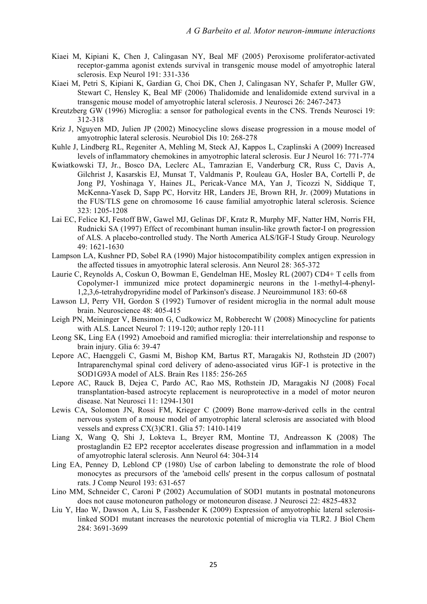- Kiaei M, Kipiani K, Chen J, Calingasan NY, Beal MF (2005) Peroxisome proliferator-activated receptor-gamma agonist extends survival in transgenic mouse model of amyotrophic lateral sclerosis. Exp Neurol 191: 331-336
- Kiaei M, Petri S, Kipiani K, Gardian G, Choi DK, Chen J, Calingasan NY, Schafer P, Muller GW, Stewart C, Hensley K, Beal MF (2006) Thalidomide and lenalidomide extend survival in a transgenic mouse model of amyotrophic lateral sclerosis. J Neurosci 26: 2467-2473
- Kreutzberg GW (1996) Microglia: a sensor for pathological events in the CNS. Trends Neurosci 19: 312-318
- Kriz J, Nguyen MD, Julien JP (2002) Minocycline slows disease progression in a mouse model of amyotrophic lateral sclerosis. Neurobiol Dis 10: 268-278
- Kuhle J, Lindberg RL, Regeniter A, Mehling M, Steck AJ, Kappos L, Czaplinski A (2009) Increased levels of inflammatory chemokines in amyotrophic lateral sclerosis. Eur J Neurol 16: 771-774
- Kwiatkowski TJ, Jr., Bosco DA, Leclerc AL, Tamrazian E, Vanderburg CR, Russ C, Davis A, Gilchrist J, Kasarskis EJ, Munsat T, Valdmanis P, Rouleau GA, Hosler BA, Cortelli P, de Jong PJ, Yoshinaga Y, Haines JL, Pericak-Vance MA, Yan J, Ticozzi N, Siddique T, McKenna-Yasek D, Sapp PC, Horvitz HR, Landers JE, Brown RH, Jr. (2009) Mutations in the FUS/TLS gene on chromosome 16 cause familial amyotrophic lateral sclerosis. Science 323: 1205-1208
- Lai EC, Felice KJ, Festoff BW, Gawel MJ, Gelinas DF, Kratz R, Murphy MF, Natter HM, Norris FH, Rudnicki SA (1997) Effect of recombinant human insulin-like growth factor-I on progression of ALS. A placebo-controlled study. The North America ALS/IGF-I Study Group. Neurology 49: 1621-1630
- Lampson LA, Kushner PD, Sobel RA (1990) Major histocompatibility complex antigen expression in the affected tissues in amyotrophic lateral sclerosis. Ann Neurol 28: 365-372
- Laurie C, Reynolds A, Coskun O, Bowman E, Gendelman HE, Mosley RL (2007) CD4+ T cells from Copolymer-1 immunized mice protect dopaminergic neurons in the 1-methyl-4-phenyl-1,2,3,6-tetrahydropyridine model of Parkinson's disease. J Neuroimmunol 183: 60-68
- Lawson LJ, Perry VH, Gordon S (1992) Turnover of resident microglia in the normal adult mouse brain. Neuroscience 48: 405-415
- Leigh PN, Meininger V, Bensimon G, Cudkowicz M, Robberecht W (2008) Minocycline for patients with ALS. Lancet Neurol 7: 119-120; author reply 120-111
- Leong SK, Ling EA (1992) Amoeboid and ramified microglia: their interrelationship and response to brain injury. Glia 6: 39-47
- Lepore AC, Haenggeli C, Gasmi M, Bishop KM, Bartus RT, Maragakis NJ, Rothstein JD (2007) Intraparenchymal spinal cord delivery of adeno-associated virus IGF-1 is protective in the SOD1G93A model of ALS. Brain Res 1185: 256-265
- Lepore AC, Rauck B, Dejea C, Pardo AC, Rao MS, Rothstein JD, Maragakis NJ (2008) Focal transplantation-based astrocyte replacement is neuroprotective in a model of motor neuron disease. Nat Neurosci 11: 1294-1301
- Lewis CA, Solomon JN, Rossi FM, Krieger C (2009) Bone marrow-derived cells in the central nervous system of a mouse model of amyotrophic lateral sclerosis are associated with blood vessels and express CX(3)CR1. Glia 57: 1410-1419
- Liang X, Wang Q, Shi J, Lokteva L, Breyer RM, Montine TJ, Andreasson K (2008) The prostaglandin E2 EP2 receptor accelerates disease progression and inflammation in a model of amyotrophic lateral sclerosis. Ann Neurol 64: 304-314
- Ling EA, Penney D, Leblond CP (1980) Use of carbon labeling to demonstrate the role of blood monocytes as precursors of the 'ameboid cells' present in the corpus callosum of postnatal rats. J Comp Neurol 193: 631-657
- Lino MM, Schneider C, Caroni P (2002) Accumulation of SOD1 mutants in postnatal motoneurons does not cause motoneuron pathology or motoneuron disease. J Neurosci 22: 4825-4832
- Liu Y, Hao W, Dawson A, Liu S, Fassbender K (2009) Expression of amyotrophic lateral sclerosislinked SOD1 mutant increases the neurotoxic potential of microglia via TLR2. J Biol Chem 284: 3691-3699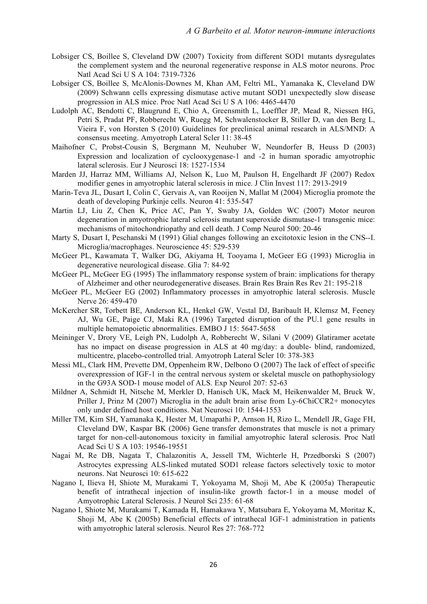- Lobsiger CS, Boillee S, Cleveland DW (2007) Toxicity from different SOD1 mutants dysregulates the complement system and the neuronal regenerative response in ALS motor neurons. Proc Natl Acad Sci U S A 104: 7319-7326
- Lobsiger CS, Boillee S, McAlonis-Downes M, Khan AM, Feltri ML, Yamanaka K, Cleveland DW (2009) Schwann cells expressing dismutase active mutant SOD1 unexpectedly slow disease progression in ALS mice. Proc Natl Acad Sci U S A 106: 4465-4470
- Ludolph AC, Bendotti C, Blaugrund E, Chio A, Greensmith L, Loeffler JP, Mead R, Niessen HG, Petri S, Pradat PF, Robberecht W, Ruegg M, Schwalenstocker B, Stiller D, van den Berg L, Vieira F, von Horsten S (2010) Guidelines for preclinical animal research in ALS/MND: A consensus meeting. Amyotroph Lateral Scler 11: 38-45
- Maihofner C, Probst-Cousin S, Bergmann M, Neuhuber W, Neundorfer B, Heuss D (2003) Expression and localization of cyclooxygenase-1 and -2 in human sporadic amyotrophic lateral sclerosis. Eur J Neurosci 18: 1527-1534
- Marden JJ, Harraz MM, Williams AJ, Nelson K, Luo M, Paulson H, Engelhardt JF (2007) Redox modifier genes in amyotrophic lateral sclerosis in mice. J Clin Invest 117: 2913-2919
- Marin-Teva JL, Dusart I, Colin C, Gervais A, van Rooijen N, Mallat M (2004) Microglia promote the death of developing Purkinje cells. Neuron 41: 535-547
- Martin LJ, Liu Z, Chen K, Price AC, Pan Y, Swaby JA, Golden WC (2007) Motor neuron degeneration in amyotrophic lateral sclerosis mutant superoxide dismutase-1 transgenic mice: mechanisms of mitochondriopathy and cell death. J Comp Neurol 500: 20-46
- Marty S, Dusart I, Peschanski M (1991) Glial changes following an excitotoxic lesion in the CNS--I. Microglia/macrophages. Neuroscience 45: 529-539
- McGeer PL, Kawamata T, Walker DG, Akiyama H, Tooyama I, McGeer EG (1993) Microglia in degenerative neurological disease. Glia 7: 84-92
- McGeer PL, McGeer EG (1995) The inflammatory response system of brain: implications for therapy of Alzheimer and other neurodegenerative diseases. Brain Res Brain Res Rev 21: 195-218
- McGeer PL, McGeer EG (2002) Inflammatory processes in amyotrophic lateral sclerosis. Muscle Nerve 26: 459-470
- McKercher SR, Torbett BE, Anderson KL, Henkel GW, Vestal DJ, Baribault H, Klemsz M, Feeney AJ, Wu GE, Paige CJ, Maki RA (1996) Targeted disruption of the PU.1 gene results in multiple hematopoietic abnormalities. EMBO J 15: 5647-5658
- Meininger V, Drory VE, Leigh PN, Ludolph A, Robberecht W, Silani V (2009) Glatiramer acetate has no impact on disease progression in ALS at 40 mg/day: a double- blind, randomized, multicentre, placebo-controlled trial. Amyotroph Lateral Scler 10: 378-383
- Messi ML, Clark HM, Prevette DM, Oppenheim RW, Delbono O (2007) The lack of effect of specific overexpression of IGF-1 in the central nervous system or skeletal muscle on pathophysiology in the G93A SOD-1 mouse model of ALS. Exp Neurol 207: 52-63
- Mildner A, Schmidt H, Nitsche M, Merkler D, Hanisch UK, Mack M, Heikenwalder M, Bruck W, Priller J, Prinz M (2007) Microglia in the adult brain arise from Ly-6ChiCCR2+ monocytes only under defined host conditions. Nat Neurosci 10: 1544-1553
- Miller TM, Kim SH, Yamanaka K, Hester M, Umapathi P, Arnson H, Rizo L, Mendell JR, Gage FH, Cleveland DW, Kaspar BK (2006) Gene transfer demonstrates that muscle is not a primary target for non-cell-autonomous toxicity in familial amyotrophic lateral sclerosis. Proc Natl Acad Sci U S A 103: 19546-19551
- Nagai M, Re DB, Nagata T, Chalazonitis A, Jessell TM, Wichterle H, Przedborski S (2007) Astrocytes expressing ALS-linked mutated SOD1 release factors selectively toxic to motor neurons. Nat Neurosci 10: 615-622
- Nagano I, Ilieva H, Shiote M, Murakami T, Yokoyama M, Shoji M, Abe K (2005a) Therapeutic benefit of intrathecal injection of insulin-like growth factor-1 in a mouse model of Amyotrophic Lateral Sclerosis. J Neurol Sci 235: 61-68
- Nagano I, Shiote M, Murakami T, Kamada H, Hamakawa Y, Matsubara E, Yokoyama M, Moritaz K, Shoji M, Abe K (2005b) Beneficial effects of intrathecal IGF-1 administration in patients with amyotrophic lateral sclerosis. Neurol Res 27: 768-772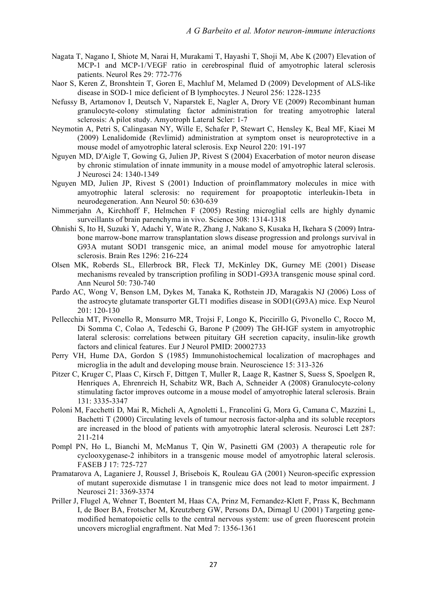- Nagata T, Nagano I, Shiote M, Narai H, Murakami T, Hayashi T, Shoji M, Abe K (2007) Elevation of MCP-1 and MCP-1/VEGF ratio in cerebrospinal fluid of amyotrophic lateral sclerosis patients. Neurol Res 29: 772-776
- Naor S, Keren Z, Bronshtein T, Goren E, Machluf M, Melamed D (2009) Development of ALS-like disease in SOD-1 mice deficient of B lymphocytes. J Neurol 256: 1228-1235
- Nefussy B, Artamonov I, Deutsch V, Naparstek E, Nagler A, Drory VE (2009) Recombinant human granulocyte-colony stimulating factor administration for treating amyotrophic lateral sclerosis: A pilot study. Amyotroph Lateral Scler: 1-7
- Neymotin A, Petri S, Calingasan NY, Wille E, Schafer P, Stewart C, Hensley K, Beal MF, Kiaei M (2009) Lenalidomide (Revlimid) administration at symptom onset is neuroprotective in a mouse model of amyotrophic lateral sclerosis. Exp Neurol 220: 191-197
- Nguyen MD, D'Aigle T, Gowing G, Julien JP, Rivest S (2004) Exacerbation of motor neuron disease by chronic stimulation of innate immunity in a mouse model of amyotrophic lateral sclerosis. J Neurosci 24: 1340-1349
- Nguyen MD, Julien JP, Rivest S (2001) Induction of proinflammatory molecules in mice with amyotrophic lateral sclerosis: no requirement for proapoptotic interleukin-1beta in neurodegeneration. Ann Neurol 50: 630-639
- Nimmerjahn A, Kirchhoff F, Helmchen F (2005) Resting microglial cells are highly dynamic surveillants of brain parenchyma in vivo. Science 308: 1314-1318
- Ohnishi S, Ito H, Suzuki Y, Adachi Y, Wate R, Zhang J, Nakano S, Kusaka H, Ikehara S (2009) Intrabone marrow-bone marrow transplantation slows disease progression and prolongs survival in G93A mutant SOD1 transgenic mice, an animal model mouse for amyotrophic lateral sclerosis. Brain Res 1296: 216-224
- Olsen MK, Roberds SL, Ellerbrock BR, Fleck TJ, McKinley DK, Gurney ME (2001) Disease mechanisms revealed by transcription profiling in SOD1-G93A transgenic mouse spinal cord. Ann Neurol 50: 730-740
- Pardo AC, Wong V, Benson LM, Dykes M, Tanaka K, Rothstein JD, Maragakis NJ (2006) Loss of the astrocyte glutamate transporter GLT1 modifies disease in SOD1(G93A) mice. Exp Neurol 201: 120-130
- Pellecchia MT, Pivonello R, Monsurro MR, Trojsi F, Longo K, Piccirillo G, Pivonello C, Rocco M, Di Somma C, Colao A, Tedeschi G, Barone P (2009) The GH-IGF system in amyotrophic lateral sclerosis: correlations between pituitary GH secretion capacity, insulin-like growth factors and clinical features. Eur J Neurol PMID: 20002733
- Perry VH, Hume DA, Gordon S (1985) Immunohistochemical localization of macrophages and microglia in the adult and developing mouse brain. Neuroscience 15: 313-326
- Pitzer C, Kruger C, Plaas C, Kirsch F, Dittgen T, Muller R, Laage R, Kastner S, Suess S, Spoelgen R, Henriques A, Ehrenreich H, Schabitz WR, Bach A, Schneider A (2008) Granulocyte-colony stimulating factor improves outcome in a mouse model of amyotrophic lateral sclerosis. Brain 131: 3335-3347
- Poloni M, Facchetti D, Mai R, Micheli A, Agnoletti L, Francolini G, Mora G, Camana C, Mazzini L, Bachetti T (2000) Circulating levels of tumour necrosis factor-alpha and its soluble receptors are increased in the blood of patients with amyotrophic lateral sclerosis. Neurosci Lett 287: 211-214
- Pompl PN, Ho L, Bianchi M, McManus T, Qin W, Pasinetti GM (2003) A therapeutic role for cyclooxygenase-2 inhibitors in a transgenic mouse model of amyotrophic lateral sclerosis. FASEB J 17: 725-727
- Pramatarova A, Laganiere J, Roussel J, Brisebois K, Rouleau GA (2001) Neuron-specific expression of mutant superoxide dismutase 1 in transgenic mice does not lead to motor impairment. J Neurosci 21: 3369-3374
- Priller J, Flugel A, Wehner T, Boentert M, Haas CA, Prinz M, Fernandez-Klett F, Prass K, Bechmann I, de Boer BA, Frotscher M, Kreutzberg GW, Persons DA, Dirnagl U (2001) Targeting genemodified hematopoietic cells to the central nervous system: use of green fluorescent protein uncovers microglial engraftment. Nat Med 7: 1356-1361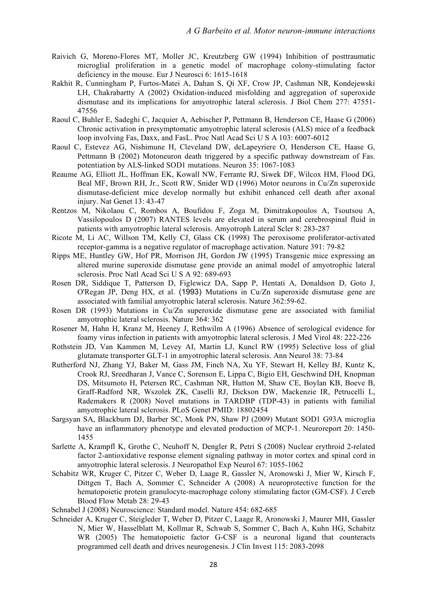- Raivich G, Moreno-Flores MT, Moller JC, Kreutzberg GW (1994) Inhibition of posttraumatic microglial proliferation in a genetic model of macrophage colony-stimulating factor deficiency in the mouse. Eur J Neurosci 6: 1615-1618
- Rakhit R, Cunningham P, Furtos-Matei A, Dahan S, Qi XF, Crow JP, Cashman NR, Kondejewski LH, Chakrabartty A (2002) Oxidation-induced misfolding and aggregation of superoxide dismutase and its implications for amyotrophic lateral sclerosis. J Biol Chem 277: 47551- 47556
- Raoul C, Buhler E, Sadeghi C, Jacquier A, Aebischer P, Pettmann B, Henderson CE, Haase G (2006) Chronic activation in presymptomatic amyotrophic lateral sclerosis (ALS) mice of a feedback loop involving Fas, Daxx, and FasL. Proc Natl Acad Sci U S A 103: 6007-6012
- Raoul C, Estevez AG, Nishimune H, Cleveland DW, deLapeyriere O, Henderson CE, Haase G, Pettmann B (2002) Motoneuron death triggered by a specific pathway downstream of Fas. potentiation by ALS-linked SOD1 mutations. Neuron 35: 1067-1083
- Reaume AG, Elliott JL, Hoffman EK, Kowall NW, Ferrante RJ, Siwek DF, Wilcox HM, Flood DG, Beal MF, Brown RH, Jr., Scott RW, Snider WD (1996) Motor neurons in Cu/Zn superoxide dismutase-deficient mice develop normally but exhibit enhanced cell death after axonal injury. Nat Genet 13: 43-47
- Rentzos M, Nikolaou C, Rombos A, Boufidou F, Zoga M, Dimitrakopoulos A, Tsoutsou A, Vassilopoulos D (2007) RANTES levels are elevated in serum and cerebrospinal fluid in patients with amyotrophic lateral sclerosis. Amyotroph Lateral Scler 8: 283-287
- Ricote M, Li AC, Willson TM, Kelly CJ, Glass CK (1998) The peroxisome proliferator-activated receptor-gamma is a negative regulator of macrophage activation. Nature 391: 79-82
- Ripps ME, Huntley GW, Hof PR, Morrison JH, Gordon JW (1995) Transgenic mice expressing an altered murine superoxide dismutase gene provide an animal model of amyotrophic lateral sclerosis. Proc Natl Acad Sci U S A 92: 689-693
- Rosen DR, Siddique T, Patterson D, Figlewicz DA, Sapp P, Hentati A, Donaldson D, Goto J, O'Regan JP, Deng HX, et al. (1993) Mutations in Cu/Zn superoxide dismutase gene are associated with familial amyotrophic lateral sclerosis. Nature 362:59-62.
- Rosen DR (1993) Mutations in Cu/Zn superoxide dismutase gene are associated with familial amyotrophic lateral sclerosis. Nature 364: 362
- Rosener M, Hahn H, Kranz M, Heeney J, Rethwilm A (1996) Absence of serological evidence for foamy virus infection in patients with amyotrophic lateral sclerosis. J Med Virol 48: 222-226
- Rothstein JD, Van Kammen M, Levey AI, Martin LJ, Kuncl RW (1995) Selective loss of glial glutamate transporter GLT-1 in amyotrophic lateral sclerosis. Ann Neurol 38: 73-84
- Rutherford NJ, Zhang YJ, Baker M, Gass JM, Finch NA, Xu YF, Stewart H, Kelley BJ, Kuntz K, Crook RJ, Sreedharan J, Vance C, Sorenson E, Lippa C, Bigio EH, Geschwind DH, Knopman DS, Mitsumoto H, Petersen RC, Cashman NR, Hutton M, Shaw CE, Boylan KB, Boeve B, Graff-Radford NR, Wszolek ZK, Caselli RJ, Dickson DW, Mackenzie IR, Petrucelli L, Rademakers R (2008) Novel mutations in TARDBP (TDP-43) in patients with familial amyotrophic lateral sclerosis. PLoS Genet PMID: 18802454
- Sargsyan SA, Blackburn DJ, Barber SC, Monk PN, Shaw PJ (2009) Mutant SOD1 G93A microglia have an inflammatory phenotype and elevated production of MCP-1. Neuroreport 20: 1450-1455
- Sarlette A, Krampfl K, Grothe C, Neuhoff N, Dengler R, Petri S (2008) Nuclear erythroid 2-related factor 2-antioxidative response element signaling pathway in motor cortex and spinal cord in amyotrophic lateral sclerosis. J Neuropathol Exp Neurol 67: 1055-1062
- Schabitz WR, Kruger C, Pitzer C, Weber D, Laage R, Gassler N, Aronowski J, Mier W, Kirsch F, Dittgen T, Bach A, Sommer C, Schneider A (2008) A neuroprotective function for the hematopoietic protein granulocyte-macrophage colony stimulating factor (GM-CSF). J Cereb Blood Flow Metab 28: 29-43
- Schnabel J (2008) Neuroscience: Standard model. Nature 454: 682-685
- Schneider A, Kruger C, Steigleder T, Weber D, Pitzer C, Laage R, Aronowski J, Maurer MH, Gassler N, Mier W, Hasselblatt M, Kollmar R, Schwab S, Sommer C, Bach A, Kuhn HG, Schabitz WR (2005) The hematopoietic factor G-CSF is a neuronal ligand that counteracts programmed cell death and drives neurogenesis. J Clin Invest 115: 2083-2098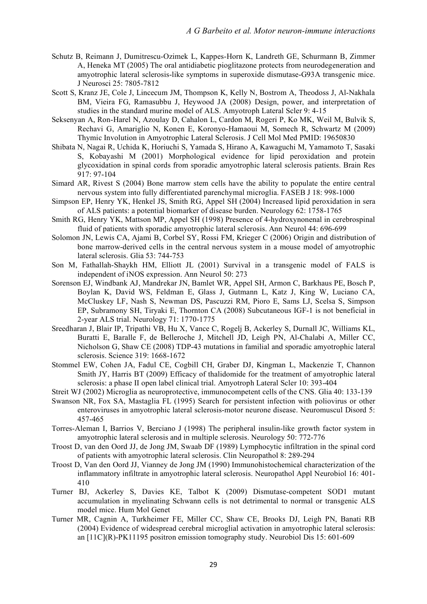- Schutz B, Reimann J, Dumitrescu-Ozimek L, Kappes-Horn K, Landreth GE, Schurmann B, Zimmer A, Heneka MT (2005) The oral antidiabetic pioglitazone protects from neurodegeneration and amyotrophic lateral sclerosis-like symptoms in superoxide dismutase-G93A transgenic mice. J Neurosci 25: 7805-7812
- Scott S, Kranz JE, Cole J, Lincecum JM, Thompson K, Kelly N, Bostrom A, Theodoss J, Al-Nakhala BM, Vieira FG, Ramasubbu J, Heywood JA (2008) Design, power, and interpretation of studies in the standard murine model of ALS. Amyotroph Lateral Scler 9: 4-15
- Seksenyan A, Ron-Harel N, Azoulay D, Cahalon L, Cardon M, Rogeri P, Ko MK, Weil M, Bulvik S, Rechavi G, Amariglio N, Konen E, Koronyo-Hamaoui M, Somech R, Schwartz M (2009) Thymic Involution in Amyotrophic Lateral Sclerosis. J Cell Mol Med PMID: 19650830
- Shibata N, Nagai R, Uchida K, Horiuchi S, Yamada S, Hirano A, Kawaguchi M, Yamamoto T, Sasaki S, Kobayashi M (2001) Morphological evidence for lipid peroxidation and protein glycoxidation in spinal cords from sporadic amyotrophic lateral sclerosis patients. Brain Res 917: 97-104
- Simard AR, Rivest S (2004) Bone marrow stem cells have the ability to populate the entire central nervous system into fully differentiated parenchymal microglia. FASEB J 18: 998-1000
- Simpson EP, Henry YK, Henkel JS, Smith RG, Appel SH (2004) Increased lipid peroxidation in sera of ALS patients: a potential biomarker of disease burden. Neurology 62: 1758-1765
- Smith RG, Henry YK, Mattson MP, Appel SH (1998) Presence of 4-hydroxynonenal in cerebrospinal fluid of patients with sporadic amyotrophic lateral sclerosis. Ann Neurol 44: 696-699
- Solomon JN, Lewis CA, Ajami B, Corbel SY, Rossi FM, Krieger C (2006) Origin and distribution of bone marrow-derived cells in the central nervous system in a mouse model of amyotrophic lateral sclerosis. Glia 53: 744-753
- Son M, Fathallah-Shaykh HM, Elliott JL (2001) Survival in a transgenic model of FALS is independent of iNOS expression. Ann Neurol 50: 273
- Sorenson EJ, Windbank AJ, Mandrekar JN, Bamlet WR, Appel SH, Armon C, Barkhaus PE, Bosch P, Boylan K, David WS, Feldman E, Glass J, Gutmann L, Katz J, King W, Luciano CA, McCluskey LF, Nash S, Newman DS, Pascuzzi RM, Pioro E, Sams LJ, Scelsa S, Simpson EP, Subramony SH, Tiryaki E, Thornton CA (2008) Subcutaneous IGF-1 is not beneficial in 2-year ALS trial. Neurology 71: 1770-1775
- Sreedharan J, Blair IP, Tripathi VB, Hu X, Vance C, Rogelj B, Ackerley S, Durnall JC, Williams KL, Buratti E, Baralle F, de Belleroche J, Mitchell JD, Leigh PN, Al-Chalabi A, Miller CC, Nicholson G, Shaw CE (2008) TDP-43 mutations in familial and sporadic amyotrophic lateral sclerosis. Science 319: 1668-1672
- Stommel EW, Cohen JA, Fadul CE, Cogbill CH, Graber DJ, Kingman L, Mackenzie T, Channon Smith JY, Harris BT (2009) Efficacy of thalidomide for the treatment of amyotrophic lateral sclerosis: a phase II open label clinical trial. Amyotroph Lateral Scler 10: 393-404
- Streit WJ (2002) Microglia as neuroprotective, immunocompetent cells of the CNS. Glia 40: 133-139
- Swanson NR, Fox SA, Mastaglia FL (1995) Search for persistent infection with poliovirus or other enteroviruses in amyotrophic lateral sclerosis-motor neurone disease. Neuromuscul Disord 5: 457-465
- Torres-Aleman I, Barrios V, Berciano J (1998) The peripheral insulin-like growth factor system in amyotrophic lateral sclerosis and in multiple sclerosis. Neurology 50: 772-776
- Troost D, van den Oord JJ, de Jong JM, Swaab DF (1989) Lymphocytic infiltration in the spinal cord of patients with amyotrophic lateral sclerosis. Clin Neuropathol 8: 289-294
- Troost D, Van den Oord JJ, Vianney de Jong JM (1990) Immunohistochemical characterization of the inflammatory infiltrate in amyotrophic lateral sclerosis. Neuropathol Appl Neurobiol 16: 401- 410
- Turner BJ, Ackerley S, Davies KE, Talbot K (2009) Dismutase-competent SOD1 mutant accumulation in myelinating Schwann cells is not detrimental to normal or transgenic ALS model mice. Hum Mol Genet
- Turner MR, Cagnin A, Turkheimer FE, Miller CC, Shaw CE, Brooks DJ, Leigh PN, Banati RB (2004) Evidence of widespread cerebral microglial activation in amyotrophic lateral sclerosis: an [11C](R)-PK11195 positron emission tomography study. Neurobiol Dis 15: 601-609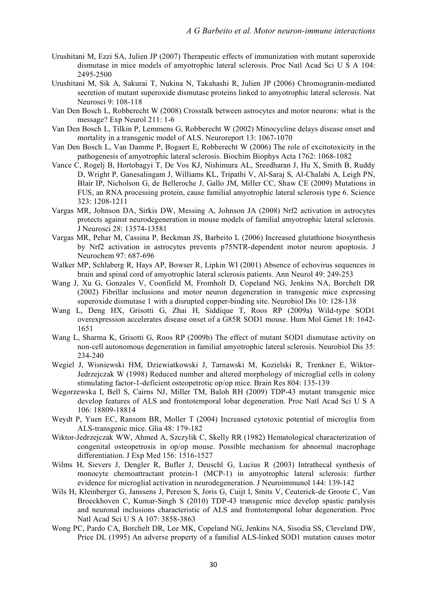- Urushitani M, Ezzi SA, Julien JP (2007) Therapeutic effects of immunization with mutant superoxide dismutase in mice models of amyotrophic lateral sclerosis. Proc Natl Acad Sci U S A 104: 2495-2500
- Urushitani M, Sik A, Sakurai T, Nukina N, Takahashi R, Julien JP (2006) Chromogranin-mediated secretion of mutant superoxide dismutase proteins linked to amyotrophic lateral sclerosis. Nat Neurosci 9: 108-118
- Van Den Bosch L, Robberecht W (2008) Crosstalk between astrocytes and motor neurons: what is the message? Exp Neurol 211: 1-6
- Van Den Bosch L, Tilkin P, Lemmens G, Robberecht W (2002) Minocycline delays disease onset and mortality in a transgenic model of ALS. Neuroreport 13: 1067-1070
- Van Den Bosch L, Van Damme P, Bogaert E, Robberecht W (2006) The role of excitotoxicity in the pathogenesis of amyotrophic lateral sclerosis. Biochim Biophys Acta 1762: 1068-1082
- Vance C, Rogelj B, Hortobagyi T, De Vos KJ, Nishimura AL, Sreedharan J, Hu X, Smith B, Ruddy D, Wright P, Ganesalingam J, Williams KL, Tripathi V, Al-Saraj S, Al-Chalabi A, Leigh PN, Blair IP, Nicholson G, de Belleroche J, Gallo JM, Miller CC, Shaw CE (2009) Mutations in FUS, an RNA processing protein, cause familial amyotrophic lateral sclerosis type 6. Science 323: 1208-1211
- Vargas MR, Johnson DA, Sirkis DW, Messing A, Johnson JA (2008) Nrf2 activation in astrocytes protects against neurodegeneration in mouse models of familial amyotrophic lateral sclerosis. J Neurosci 28: 13574-13581
- Vargas MR, Pehar M, Cassina P, Beckman JS, Barbeito L (2006) Increased glutathione biosynthesis by Nrf2 activation in astrocytes prevents p75NTR-dependent motor neuron apoptosis. J Neurochem 97: 687-696
- Walker MP, Schlaberg R, Hays AP, Bowser R, Lipkin WI (2001) Absence of echovirus sequences in brain and spinal cord of amyotrophic lateral sclerosis patients. Ann Neurol 49: 249-253
- Wang J, Xu G, Gonzales V, Coonfield M, Fromholt D, Copeland NG, Jenkins NA, Borchelt DR (2002) Fibrillar inclusions and motor neuron degeneration in transgenic mice expressing superoxide dismutase 1 with a disrupted copper-binding site. Neurobiol Dis 10: 128-138
- Wang L, Deng HX, Grisotti G, Zhai H, Siddique T, Roos RP (2009a) Wild-type SOD1 overexpression accelerates disease onset of a G85R SOD1 mouse. Hum Mol Genet 18: 1642- 1651
- Wang L, Sharma K, Grisotti G, Roos RP (2009b) The effect of mutant SOD1 dismutase activity on non-cell autonomous degeneration in familial amyotrophic lateral sclerosis. Neurobiol Dis 35: 234-240
- Wegiel J, Wisniewski HM, Dziewiatkowski J, Tarnawski M, Kozielski R, Trenkner E, Wiktor-Jedrzejczak W (1998) Reduced number and altered morphology of microglial cells in colony stimulating factor-1-deficient osteopetrotic op/op mice. Brain Res 804: 135-139
- Wegorzewska I, Bell S, Cairns NJ, Miller TM, Baloh RH (2009) TDP-43 mutant transgenic mice develop features of ALS and frontotemporal lobar degeneration. Proc Natl Acad Sci U S A 106: 18809-18814
- Weydt P, Yuen EC, Ransom BR, Moller T (2004) Increased cytotoxic potential of microglia from ALS-transgenic mice. Glia 48: 179-182
- Wiktor-Jedrzejczak WW, Ahmed A, Szczylik C, Skelly RR (1982) Hematological characterization of congenital osteopetrosis in op/op mouse. Possible mechanism for abnormal macrophage differentiation. J Exp Med 156: 1516-1527
- Wilms H, Sievers J, Dengler R, Bufler J, Deuschl G, Lucius R (2003) Intrathecal synthesis of monocyte chemoattractant protein-1 (MCP-1) in amyotrophic lateral sclerosis: further evidence for microglial activation in neurodegeneration. J Neuroimmunol 144: 139-142
- Wils H, Kleinberger G, Janssens J, Pereson S, Joris G, Cuijt I, Smits V, Ceuterick-de Groote C, Van Broeckhoven C, Kumar-Singh S (2010) TDP-43 transgenic mice develop spastic paralysis and neuronal inclusions characteristic of ALS and frontotemporal lobar degeneration. Proc Natl Acad Sci U S A 107: 3858-3863
- Wong PC, Pardo CA, Borchelt DR, Lee MK, Copeland NG, Jenkins NA, Sisodia SS, Cleveland DW, Price DL (1995) An adverse property of a familial ALS-linked SOD1 mutation causes motor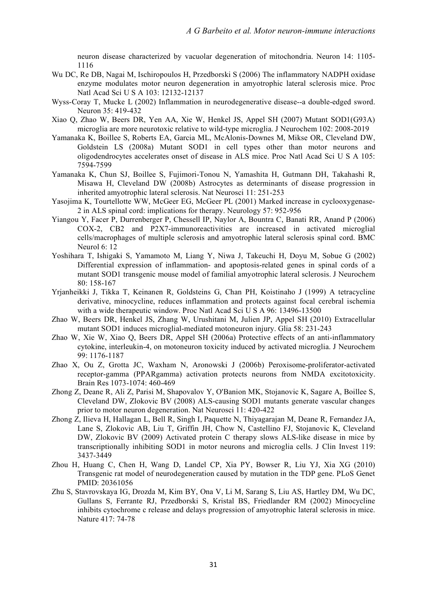neuron disease characterized by vacuolar degeneration of mitochondria. Neuron 14: 1105- 1116

- Wu DC, Re DB, Nagai M, Ischiropoulos H, Przedborski S (2006) The inflammatory NADPH oxidase enzyme modulates motor neuron degeneration in amyotrophic lateral sclerosis mice. Proc Natl Acad Sci U S A 103: 12132-12137
- Wyss-Coray T, Mucke L (2002) Inflammation in neurodegenerative disease--a double-edged sword. Neuron 35: 419-432
- Xiao Q, Zhao W, Beers DR, Yen AA, Xie W, Henkel JS, Appel SH (2007) Mutant SOD1(G93A) microglia are more neurotoxic relative to wild-type microglia. J Neurochem 102: 2008-2019
- Yamanaka K, Boillee S, Roberts EA, Garcia ML, McAlonis-Downes M, Mikse OR, Cleveland DW, Goldstein LS (2008a) Mutant SOD1 in cell types other than motor neurons and oligodendrocytes accelerates onset of disease in ALS mice. Proc Natl Acad Sci U S A 105: 7594-7599
- Yamanaka K, Chun SJ, Boillee S, Fujimori-Tonou N, Yamashita H, Gutmann DH, Takahashi R, Misawa H, Cleveland DW (2008b) Astrocytes as determinants of disease progression in inherited amyotrophic lateral sclerosis. Nat Neurosci 11: 251-253
- Yasojima K, Tourtellotte WW, McGeer EG, McGeer PL (2001) Marked increase in cyclooxygenase-2 in ALS spinal cord: implications for therapy. Neurology 57: 952-956
- Yiangou Y, Facer P, Durrenberger P, Chessell IP, Naylor A, Bountra C, Banati RR, Anand P (2006) COX-2, CB2 and P2X7-immunoreactivities are increased in activated microglial cells/macrophages of multiple sclerosis and amyotrophic lateral sclerosis spinal cord. BMC Neurol 6: 12
- Yoshihara T, Ishigaki S, Yamamoto M, Liang Y, Niwa J, Takeuchi H, Doyu M, Sobue G (2002) Differential expression of inflammation- and apoptosis-related genes in spinal cords of a mutant SOD1 transgenic mouse model of familial amyotrophic lateral sclerosis. J Neurochem  $80 \cdot 158 - 167$
- Yrjanheikki J, Tikka T, Keinanen R, Goldsteins G, Chan PH, Koistinaho J (1999) A tetracycline derivative, minocycline, reduces inflammation and protects against focal cerebral ischemia with a wide therapeutic window. Proc Natl Acad Sci U S A 96: 13496-13500
- Zhao W, Beers DR, Henkel JS, Zhang W, Urushitani M, Julien JP, Appel SH (2010) Extracellular mutant SOD1 induces microglial-mediated motoneuron injury. Glia 58: 231-243
- Zhao W, Xie W, Xiao Q, Beers DR, Appel SH (2006a) Protective effects of an anti-inflammatory cytokine, interleukin-4, on motoneuron toxicity induced by activated microglia. J Neurochem 99: 1176-1187
- Zhao X, Ou Z, Grotta JC, Waxham N, Aronowski J (2006b) Peroxisome-proliferator-activated receptor-gamma (PPARgamma) activation protects neurons from NMDA excitotoxicity. Brain Res 1073-1074: 460-469
- Zhong Z, Deane R, Ali Z, Parisi M, Shapovalov Y, O'Banion MK, Stojanovic K, Sagare A, Boillee S, Cleveland DW, Zlokovic BV (2008) ALS-causing SOD1 mutants generate vascular changes prior to motor neuron degeneration. Nat Neurosci 11: 420-422
- Zhong Z, Ilieva H, Hallagan L, Bell R, Singh I, Paquette N, Thiyagarajan M, Deane R, Fernandez JA, Lane S, Zlokovic AB, Liu T, Griffin JH, Chow N, Castellino FJ, Stojanovic K, Cleveland DW, Zlokovic BV (2009) Activated protein C therapy slows ALS-like disease in mice by transcriptionally inhibiting SOD1 in motor neurons and microglia cells. J Clin Invest 119: 3437-3449
- Zhou H, Huang C, Chen H, Wang D, Landel CP, Xia PY, Bowser R, Liu YJ, Xia XG (2010) Transgenic rat model of neurodegeneration caused by mutation in the TDP gene. PLoS Genet PMID: 20361056
- Zhu S, Stavrovskaya IG, Drozda M, Kim BY, Ona V, Li M, Sarang S, Liu AS, Hartley DM, Wu DC, Gullans S, Ferrante RJ, Przedborski S, Kristal BS, Friedlander RM (2002) Minocycline inhibits cytochrome c release and delays progression of amyotrophic lateral sclerosis in mice. Nature 417: 74-78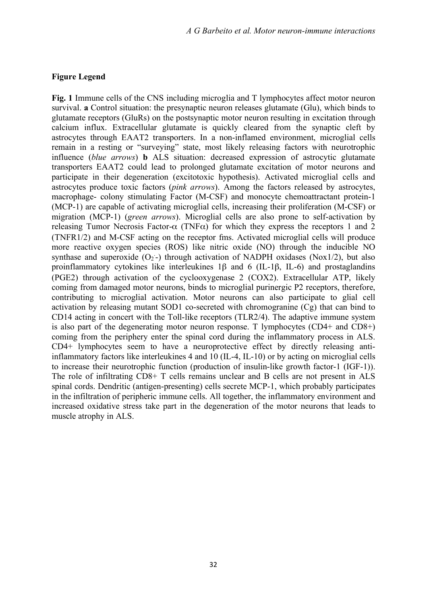#### **Figure Legend**

**Fig. 1** Immune cells of the CNS including microglia and T lymphocytes affect motor neuron survival. **a** Control situation: the presynaptic neuron releases glutamate (Glu), which binds to glutamate receptors (GluRs) on the postsynaptic motor neuron resulting in excitation through calcium influx. Extracellular glutamate is quickly cleared from the synaptic cleft by astrocytes through EAAT2 transporters. In a non-inflamed environment, microglial cells remain in a resting or "surveying" state, most likely releasing factors with neurotrophic influence (*blue arrows*) **b** ALS situation: decreased expression of astrocytic glutamate transporters EAAT2 could lead to prolonged glutamate excitation of motor neurons and participate in their degeneration (excitotoxic hypothesis). Activated microglial cells and astrocytes produce toxic factors (*pink arrows*). Among the factors released by astrocytes, macrophage- colony stimulating Factor (M-CSF) and monocyte chemoattractant protein-1 (MCP-1) are capable of activating microglial cells, increasing their proliferation (M-CSF) or migration (MCP-1) (*green arrows*). Microglial cells are also prone to self-activation by releasing Tumor Necrosis Factor-α (TNFα) for which they express the receptors 1 and 2 (TNFR1/2) and M-CSF acting on the receptor fms. Activated microglial cells will produce more reactive oxygen species (ROS) like nitric oxide (NO) through the inducible NO synthase and superoxide  $(O_2-)$  through activation of NADPH oxidases (Nox1/2), but also proinflammatory cytokines like interleukines 1β and 6 (IL-1β, IL-6) and prostaglandins (PGE2) through activation of the cyclooxygenase 2 (COX2). Extracellular ATP, likely coming from damaged motor neurons, binds to microglial purinergic P2 receptors, therefore, contributing to microglial activation. Motor neurons can also participate to glial cell activation by releasing mutant SOD1 co-secreted with chromogranine (Cg) that can bind to CD14 acting in concert with the Toll-like receptors (TLR2/4). The adaptive immune system is also part of the degenerating motor neuron response. T lymphocytes (CD4+ and CD8+) coming from the periphery enter the spinal cord during the inflammatory process in ALS. CD4+ lymphocytes seem to have a neuroprotective effect by directly releasing antiinflammatory factors like interleukines 4 and 10 (IL-4, IL-10) or by acting on microglial cells to increase their neurotrophic function (production of insulin-like growth factor-1 (IGF-1)). The role of infiltrating CD8+ T cells remains unclear and B cells are not present in ALS spinal cords. Dendritic (antigen-presenting) cells secrete MCP-1, which probably participates in the infiltration of peripheric immune cells. All together, the inflammatory environment and increased oxidative stress take part in the degeneration of the motor neurons that leads to muscle atrophy in ALS.